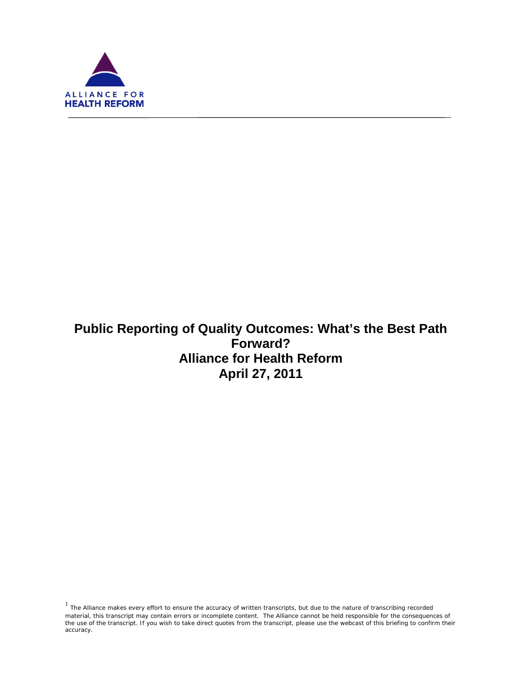

ī

# **Public Reporting of Quality Outcomes: What's the Best Path Forward? Alliance for Health Reform April 27, 2011**

 $1$  The Alliance makes every effort to ensure the accuracy of written transcripts, but due to the nature of transcribing recorded material, this transcript may contain errors or incomplete content. The Alliance cannot be held responsible for the consequences of the use of the transcript. If you wish to take direct quotes from the transcript, please use the webcast of this briefing to confirm their accuracy.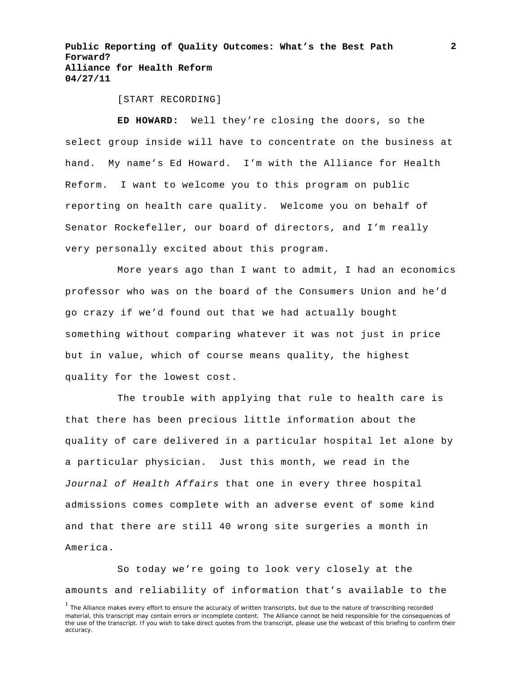[START RECORDING]

**ED HOWARD:** Well they're closing the doors, so the select group inside will have to concentrate on the business at hand. My name's Ed Howard. I'm with the Alliance for Health Reform. I want to welcome you to this program on public reporting on health care quality. Welcome you on behalf of Senator Rockefeller, our board of directors, and I'm really very personally excited about this program.

More years ago than I want to admit, I had an economics professor who was on the board of the Consumers Union and he'd go crazy if we'd found out that we had actually bought something without comparing whatever it was not just in price but in value, which of course means quality, the highest quality for the lowest cost.

The trouble with applying that rule to health care is that there has been precious little information about the quality of care delivered in a particular hospital let alone by a particular physician. Just this month, we read in the *Journal of Health Affairs* that one in every three hospital admissions comes complete with an adverse event of some kind and that there are still 40 wrong site surgeries a month in America.

So today we're going to look very closely at the amounts and reliability of information that's available to the

**2**

<sup>&</sup>lt;sup>1</sup> The Alliance makes every effort to ensure the accuracy of written transcripts, but due to the nature of transcribing recorded material, this transcript may contain errors or incomplete content. The Alliance cannot be held responsible for the consequences of the use of the transcript. If you wish to take direct quotes from the transcript, please use the webcast of this briefing to confirm their accuracy.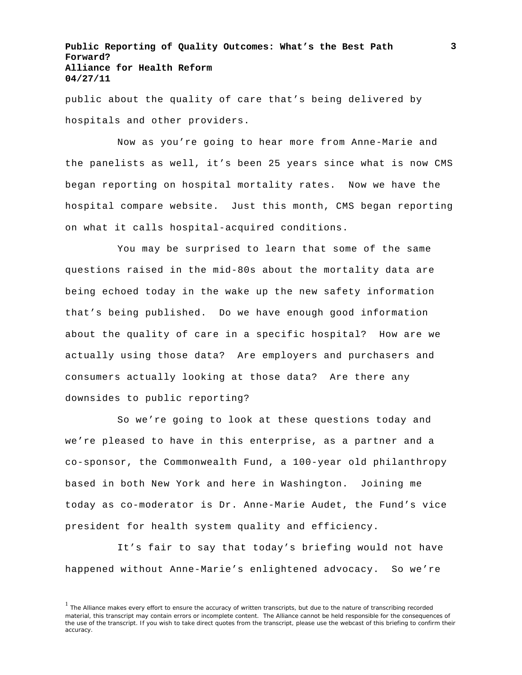public about the quality of care that's being delivered by hospitals and other providers.

Now as you're going to hear more from Anne-Marie and the panelists as well, it's been 25 years since what is now CMS began reporting on hospital mortality rates. Now we have the hospital compare website. Just this month, CMS began reporting on what it calls hospital-acquired conditions.

You may be surprised to learn that some of the same questions raised in the mid-80s about the mortality data are being echoed today in the wake up the new safety information that's being published. Do we have enough good information about the quality of care in a specific hospital? How are we actually using those data? Are employers and purchasers and consumers actually looking at those data? Are there any downsides to public reporting?

So we're going to look at these questions today and we're pleased to have in this enterprise, as a partner and a co-sponsor, the Commonwealth Fund, a 100-year old philanthropy based in both New York and here in Washington. Joining me today as co-moderator is Dr. Anne-Marie Audet, the Fund's vice president for health system quality and efficiency.

It's fair to say that today's briefing would not have happened without Anne-Marie's enlightened advocacy. So we're

<sup>&</sup>lt;sup>1</sup> The Alliance makes every effort to ensure the accuracy of written transcripts, but due to the nature of transcribing recorded material, this transcript may contain errors or incomplete content. The Alliance cannot be held responsible for the consequences of the use of the transcript. If you wish to take direct quotes from the transcript, please use the webcast of this briefing to confirm their accuracy.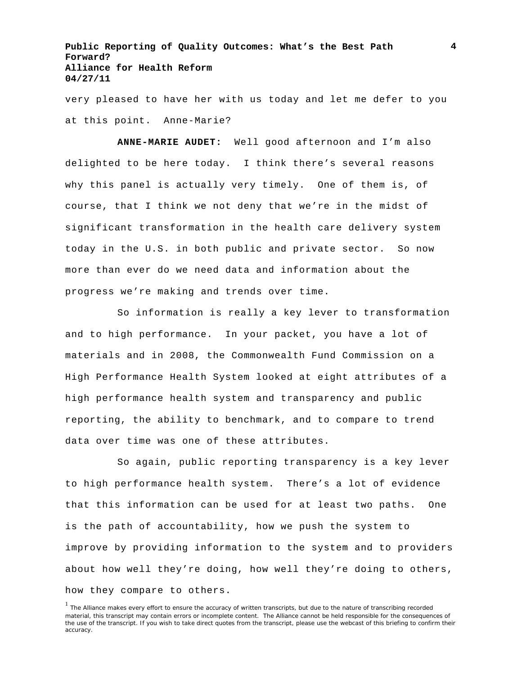very pleased to have her with us today and let me defer to you at this point. Anne-Marie?

**ANNE-MARIE AUDET:** Well good afternoon and I'm also delighted to be here today. I think there's several reasons why this panel is actually very timely. One of them is, of course, that I think we not deny that we're in the midst of significant transformation in the health care delivery system today in the U.S. in both public and private sector. So now more than ever do we need data and information about the progress we're making and trends over time.

So information is really a key lever to transformation and to high performance. In your packet, you have a lot of materials and in 2008, the Commonwealth Fund Commission on a High Performance Health System looked at eight attributes of a high performance health system and transparency and public reporting, the ability to benchmark, and to compare to trend data over time was one of these attributes.

So again, public reporting transparency is a key lever to high performance health system. There's a lot of evidence that this information can be used for at least two paths. One is the path of accountability, how we push the system to improve by providing information to the system and to providers about how well they're doing, how well they're doing to others, how they compare to others.

<sup>&</sup>lt;sup>1</sup> The Alliance makes every effort to ensure the accuracy of written transcripts, but due to the nature of transcribing recorded material, this transcript may contain errors or incomplete content. The Alliance cannot be held responsible for the consequences of the use of the transcript. If you wish to take direct quotes from the transcript, please use the webcast of this briefing to confirm their accuracy.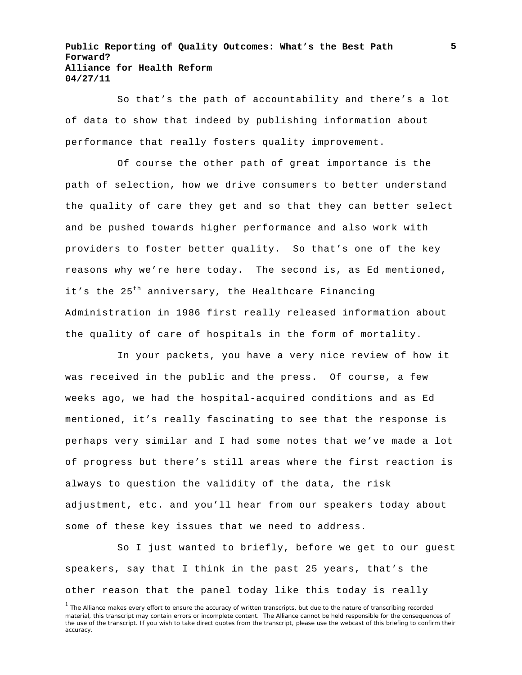So that's the path of accountability and there's a lot of data to show that indeed by publishing information about performance that really fosters quality improvement.

Of course the other path of great importance is the path of selection, how we drive consumers to better understand the quality of care they get and so that they can better select and be pushed towards higher performance and also work with providers to foster better quality. So that's one of the key reasons why we're here today. The second is, as Ed mentioned, it's the  $25<sup>th</sup>$  anniversary, the Healthcare Financing Administration in 1986 first really released information about the quality of care of hospitals in the form of mortality.

In your packets, you have a very nice review of how it was received in the public and the press. Of course, a few weeks ago, we had the hospital-acquired conditions and as Ed mentioned, it's really fascinating to see that the response is perhaps very similar and I had some notes that we've made a lot of progress but there's still areas where the first reaction is always to question the validity of the data, the risk adjustment, etc. and you'll hear from our speakers today about some of these key issues that we need to address.

So I just wanted to briefly, before we get to our guest speakers, say that I think in the past 25 years, that's the other reason that the panel today like this today is really

<sup>&</sup>lt;sup>1</sup> The Alliance makes every effort to ensure the accuracy of written transcripts, but due to the nature of transcribing recorded material, this transcript may contain errors or incomplete content. The Alliance cannot be held responsible for the consequences of the use of the transcript. If you wish to take direct quotes from the transcript, please use the webcast of this briefing to confirm their accuracy.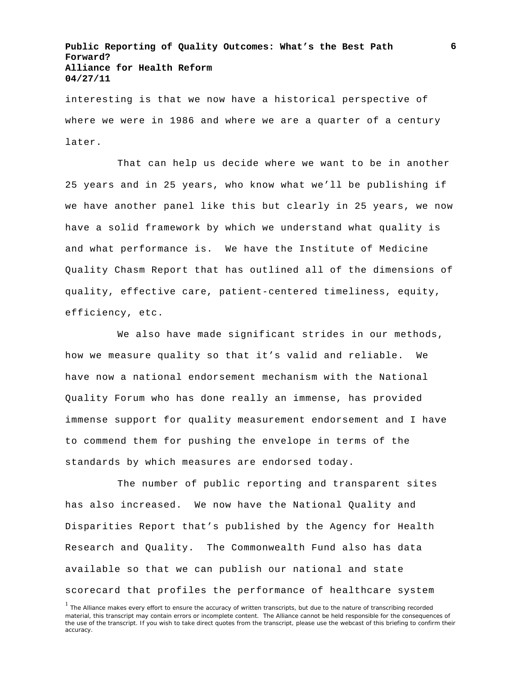interesting is that we now have a historical perspective of where we were in 1986 and where we are a quarter of a century later.

That can help us decide where we want to be in another 25 years and in 25 years, who know what we'll be publishing if we have another panel like this but clearly in 25 years, we now have a solid framework by which we understand what quality is and what performance is. We have the Institute of Medicine Quality Chasm Report that has outlined all of the dimensions of quality, effective care, patient-centered timeliness, equity, efficiency, etc.

We also have made significant strides in our methods, how we measure quality so that it's valid and reliable. We have now a national endorsement mechanism with the National Quality Forum who has done really an immense, has provided immense support for quality measurement endorsement and I have to commend them for pushing the envelope in terms of the standards by which measures are endorsed today.

The number of public reporting and transparent sites has also increased. We now have the National Quality and Disparities Report that's published by the Agency for Health Research and Quality. The Commonwealth Fund also has data available so that we can publish our national and state scorecard that profiles the performance of healthcare system

<sup>&</sup>lt;sup>1</sup> The Alliance makes every effort to ensure the accuracy of written transcripts, but due to the nature of transcribing recorded material, this transcript may contain errors or incomplete content. The Alliance cannot be held responsible for the consequences of the use of the transcript. If you wish to take direct quotes from the transcript, please use the webcast of this briefing to confirm their accuracy.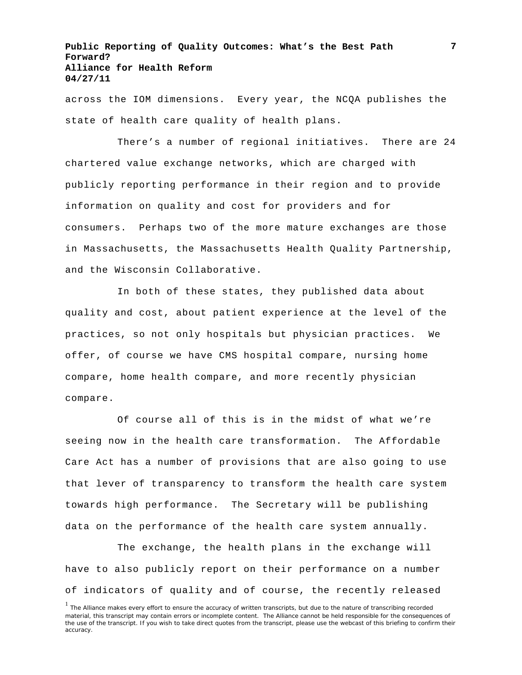across the IOM dimensions. Every year, the NCQA publishes the state of health care quality of health plans.

There's a number of regional initiatives. There are 24 chartered value exchange networks, which are charged with publicly reporting performance in their region and to provide information on quality and cost for providers and for consumers. Perhaps two of the more mature exchanges are those in Massachusetts, the Massachusetts Health Quality Partnership, and the Wisconsin Collaborative.

In both of these states, they published data about quality and cost, about patient experience at the level of the practices, so not only hospitals but physician practices. We offer, of course we have CMS hospital compare, nursing home compare, home health compare, and more recently physician compare.

Of course all of this is in the midst of what we're seeing now in the health care transformation. The Affordable Care Act has a number of provisions that are also going to use that lever of transparency to transform the health care system towards high performance. The Secretary will be publishing data on the performance of the health care system annually.

The exchange, the health plans in the exchange will have to also publicly report on their performance on a number of indicators of quality and of course, the recently released

<sup>&</sup>lt;sup>1</sup> The Alliance makes every effort to ensure the accuracy of written transcripts, but due to the nature of transcribing recorded material, this transcript may contain errors or incomplete content. The Alliance cannot be held responsible for the consequences of the use of the transcript. If you wish to take direct quotes from the transcript, please use the webcast of this briefing to confirm their accuracy.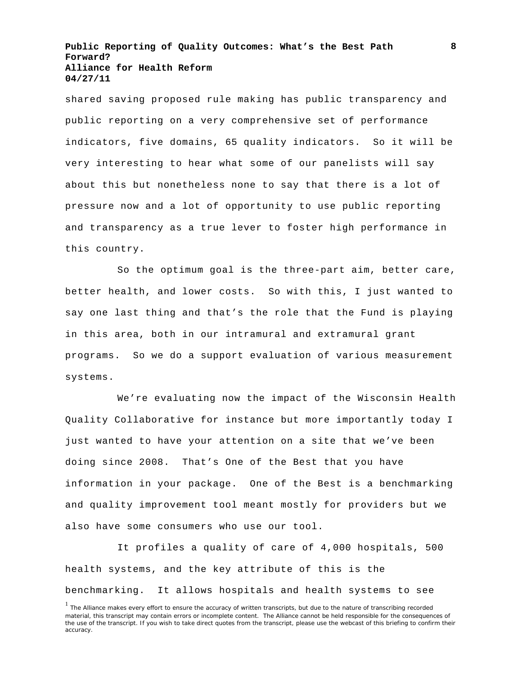shared saving proposed rule making has public transparency and public reporting on a very comprehensive set of performance indicators, five domains, 65 quality indicators. So it will be very interesting to hear what some of our panelists will say about this but nonetheless none to say that there is a lot of pressure now and a lot of opportunity to use public reporting and transparency as a true lever to foster high performance in this country.

So the optimum goal is the three-part aim, better care, better health, and lower costs. So with this, I just wanted to say one last thing and that's the role that the Fund is playing in this area, both in our intramural and extramural grant programs. So we do a support evaluation of various measurement systems.

We're evaluating now the impact of the Wisconsin Health Quality Collaborative for instance but more importantly today I just wanted to have your attention on a site that we've been doing since 2008. That's One of the Best that you have information in your package. One of the Best is a benchmarking and quality improvement tool meant mostly for providers but we also have some consumers who use our tool.

It profiles a quality of care of 4,000 hospitals, 500 health systems, and the key attribute of this is the benchmarking. It allows hospitals and health systems to see

<sup>&</sup>lt;sup>1</sup> The Alliance makes every effort to ensure the accuracy of written transcripts, but due to the nature of transcribing recorded material, this transcript may contain errors or incomplete content. The Alliance cannot be held responsible for the consequences of the use of the transcript. If you wish to take direct quotes from the transcript, please use the webcast of this briefing to confirm their accuracy.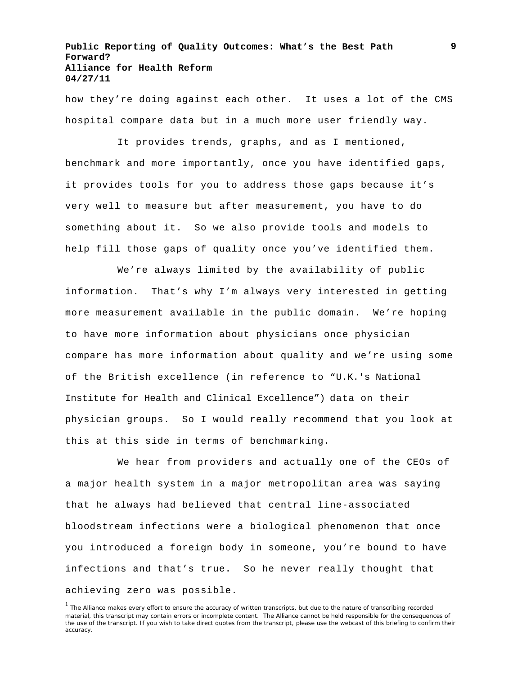how they're doing against each other. It uses a lot of the CMS hospital compare data but in a much more user friendly way.

It provides trends, graphs, and as I mentioned, benchmark and more importantly, once you have identified gaps, it provides tools for you to address those gaps because it's very well to measure but after measurement, you have to do something about it. So we also provide tools and models to help fill those gaps of quality once you've identified them.

We're always limited by the availability of public information. That's why I'm always very interested in getting more measurement available in the public domain. We're hoping to have more information about physicians once physician compare has more information about quality and we're using some of the British excellence (in reference to "U.K.'s National Institute for Health and Clinical Excellence") data on their physician groups. So I would really recommend that you look at this at this side in terms of benchmarking.

We hear from providers and actually one of the CEOs of a major health system in a major metropolitan area was saying that he always had believed that central line-associated bloodstream infections were a biological phenomenon that once you introduced a foreign body in someone, you're bound to have infections and that's true. So he never really thought that achieving zero was possible.

<sup>&</sup>lt;sup>1</sup> The Alliance makes every effort to ensure the accuracy of written transcripts, but due to the nature of transcribing recorded material, this transcript may contain errors or incomplete content. The Alliance cannot be held responsible for the consequences of the use of the transcript. If you wish to take direct quotes from the transcript, please use the webcast of this briefing to confirm their accuracy.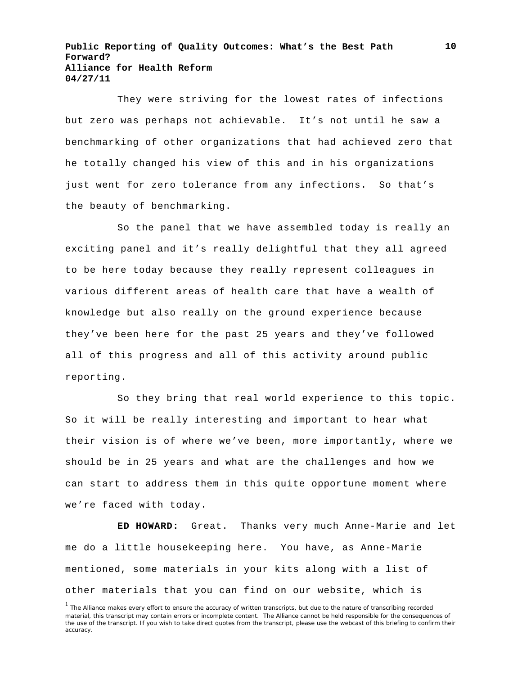They were striving for the lowest rates of infections but zero was perhaps not achievable. It's not until he saw a benchmarking of other organizations that had achieved zero that he totally changed his view of this and in his organizations just went for zero tolerance from any infections. So that's the beauty of benchmarking.

So the panel that we have assembled today is really an exciting panel and it's really delightful that they all agreed to be here today because they really represent colleagues in various different areas of health care that have a wealth of knowledge but also really on the ground experience because they've been here for the past 25 years and they've followed all of this progress and all of this activity around public reporting.

So they bring that real world experience to this topic. So it will be really interesting and important to hear what their vision is of where we've been, more importantly, where we should be in 25 years and what are the challenges and how we can start to address them in this quite opportune moment where we're faced with today.

**ED HOWARD:** Great. Thanks very much Anne-Marie and let me do a little housekeeping here. You have, as Anne-Marie mentioned, some materials in your kits along with a list of other materials that you can find on our website, which is

<sup>&</sup>lt;sup>1</sup> The Alliance makes every effort to ensure the accuracy of written transcripts, but due to the nature of transcribing recorded material, this transcript may contain errors or incomplete content. The Alliance cannot be held responsible for the consequences of the use of the transcript. If you wish to take direct quotes from the transcript, please use the webcast of this briefing to confirm their accuracy.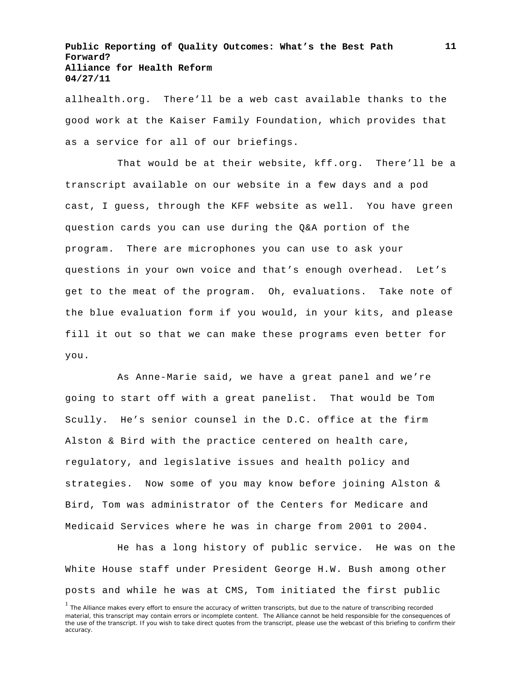allhealth.org. There'll be a web cast available thanks to the good work at the Kaiser Family Foundation, which provides that as a service for all of our briefings.

That would be at their website, kff.org. There'll be a transcript available on our website in a few days and a pod cast, I guess, through the KFF website as well. You have green question cards you can use during the Q&A portion of the program. There are microphones you can use to ask your questions in your own voice and that's enough overhead. Let's get to the meat of the program. Oh, evaluations. Take note of the blue evaluation form if you would, in your kits, and please fill it out so that we can make these programs even better for you.

As Anne-Marie said, we have a great panel and we're going to start off with a great panelist. That would be Tom Scully. He's senior counsel in the D.C. office at the firm Alston & Bird with the practice centered on health care, regulatory, and legislative issues and health policy and strategies. Now some of you may know before joining Alston & Bird, Tom was administrator of the Centers for Medicare and Medicaid Services where he was in charge from 2001 to 2004.

He has a long history of public service. He was on the White House staff under President George H.W. Bush among other posts and while he was at CMS, Tom initiated the first public

<sup>&</sup>lt;sup>1</sup> The Alliance makes every effort to ensure the accuracy of written transcripts, but due to the nature of transcribing recorded material, this transcript may contain errors or incomplete content. The Alliance cannot be held responsible for the consequences of the use of the transcript. If you wish to take direct quotes from the transcript, please use the webcast of this briefing to confirm their accuracy.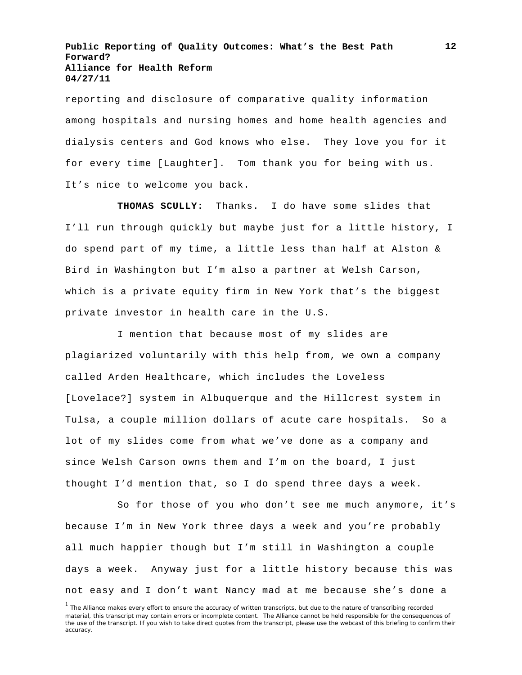reporting and disclosure of comparative quality information among hospitals and nursing homes and home health agencies and dialysis centers and God knows who else. They love you for it for every time [Laughter]. Tom thank you for being with us. It's nice to welcome you back.

**THOMAS SCULLY:** Thanks. I do have some slides that I'll run through quickly but maybe just for a little history, I do spend part of my time, a little less than half at Alston & Bird in Washington but I'm also a partner at Welsh Carson, which is a private equity firm in New York that's the biggest private investor in health care in the U.S.

I mention that because most of my slides are plagiarized voluntarily with this help from, we own a company called Arden Healthcare, which includes the Loveless [Lovelace?] system in Albuquerque and the Hillcrest system in Tulsa, a couple million dollars of acute care hospitals. So a lot of my slides come from what we've done as a company and since Welsh Carson owns them and I'm on the board, I just thought I'd mention that, so I do spend three days a week.

So for those of you who don't see me much anymore, it's because I'm in New York three days a week and you're probably all much happier though but I'm still in Washington a couple days a week. Anyway just for a little history because this was not easy and I don't want Nancy mad at me because she's done a

<sup>&</sup>lt;sup>1</sup> The Alliance makes every effort to ensure the accuracy of written transcripts, but due to the nature of transcribing recorded material, this transcript may contain errors or incomplete content. The Alliance cannot be held responsible for the consequences of the use of the transcript. If you wish to take direct quotes from the transcript, please use the webcast of this briefing to confirm their accuracy.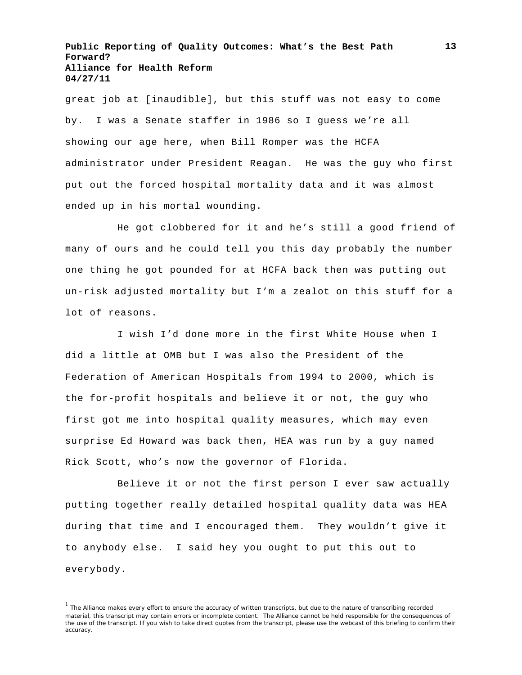great job at [inaudible], but this stuff was not easy to come by. I was a Senate staffer in 1986 so I guess we're all showing our age here, when Bill Romper was the HCFA administrator under President Reagan. He was the guy who first put out the forced hospital mortality data and it was almost ended up in his mortal wounding.

He got clobbered for it and he's still a good friend of many of ours and he could tell you this day probably the number one thing he got pounded for at HCFA back then was putting out un-risk adjusted mortality but I'm a zealot on this stuff for a lot of reasons.

I wish I'd done more in the first White House when I did a little at OMB but I was also the President of the Federation of American Hospitals from 1994 to 2000, which is the for-profit hospitals and believe it or not, the guy who first got me into hospital quality measures, which may even surprise Ed Howard was back then, HEA was run by a guy named Rick Scott, who's now the governor of Florida.

Believe it or not the first person I ever saw actually putting together really detailed hospital quality data was HEA during that time and I encouraged them. They wouldn't give it to anybody else. I said hey you ought to put this out to everybody.

<sup>&</sup>lt;sup>1</sup> The Alliance makes every effort to ensure the accuracy of written transcripts, but due to the nature of transcribing recorded material, this transcript may contain errors or incomplete content. The Alliance cannot be held responsible for the consequences of the use of the transcript. If you wish to take direct quotes from the transcript, please use the webcast of this briefing to confirm their accuracy.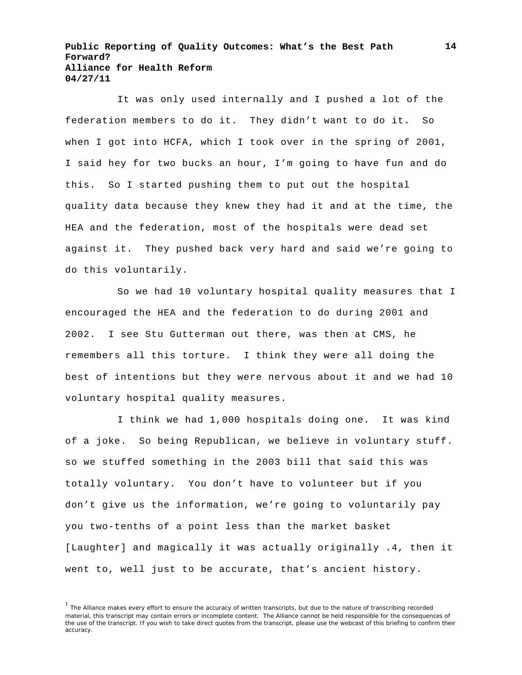It was only used internally and I pushed a lot of the federation members to do it. They didn't want to do it. So when I got into HCFA, which I took over in the spring of 2001, I said hey for two bucks an hour, I'm going to have fun and do this. So I started pushing them to put out the hospital quality data because they knew they had it and at the time, the HEA and the federation, most of the hospitals were dead set against it. They pushed back very hard and said we're going to do this voluntarily.

So we had 10 voluntary hospital quality measures that I encouraged the HEA and the federation to do during 2001 and 2002. I see Stu Gutterman out there, was then at CMS, he remembers all this torture. I think they were all doing the best of intentions but they were nervous about it and we had 10 voluntary hospital quality measures.

I think we had 1,000 hospitals doing one. It was kind of a joke. So being Republican, we believe in voluntary stuff. so we stuffed something in the 2003 bill that said this was totally voluntary. You don't have to volunteer but if you don't give us the information, we're going to voluntarily pay you two-tenths of a point less than the market basket [Laughter] and magically it was actually originally .4, then it went to, well just to be accurate, that's ancient history.

<sup>&</sup>lt;sup>1</sup> The Alliance makes every effort to ensure the accuracy of written transcripts, but due to the nature of transcribing recorded material, this transcript may contain errors or incomplete content. The Alliance cannot be held responsible for the consequences of the use of the transcript. If you wish to take direct quotes from the transcript, please use the webcast of this briefing to confirm their accuracy.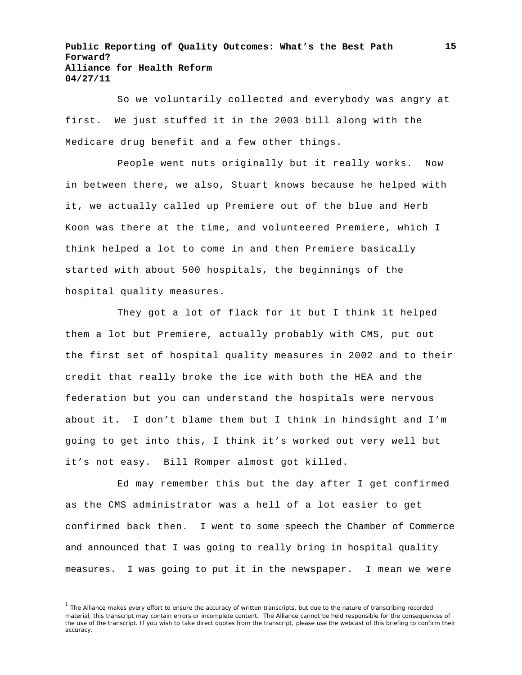So we voluntarily collected and everybody was angry at first. We just stuffed it in the 2003 bill along with the Medicare drug benefit and a few other things.

People went nuts originally but it really works. Now in between there, we also, Stuart knows because he helped with it, we actually called up Premiere out of the blue and Herb Koon was there at the time, and volunteered Premiere, which I think helped a lot to come in and then Premiere basically started with about 500 hospitals, the beginnings of the hospital quality measures.

They got a lot of flack for it but I think it helped them a lot but Premiere, actually probably with CMS, put out the first set of hospital quality measures in 2002 and to their credit that really broke the ice with both the HEA and the federation but you can understand the hospitals were nervous about it. I don't blame them but I think in hindsight and I'm going to get into this, I think it's worked out very well but it's not easy. Bill Romper almost got killed.

Ed may remember this but the day after I get confirmed as the CMS administrator was a hell of a lot easier to get confirmed back then. I went to some speech the Chamber of Commerce and announced that I was going to really bring in hospital quality measures. I was going to put it in the newspaper. I mean we were

<sup>&</sup>lt;sup>1</sup> The Alliance makes every effort to ensure the accuracy of written transcripts, but due to the nature of transcribing recorded material, this transcript may contain errors or incomplete content. The Alliance cannot be held responsible for the consequences of the use of the transcript. If you wish to take direct quotes from the transcript, please use the webcast of this briefing to confirm their accuracy.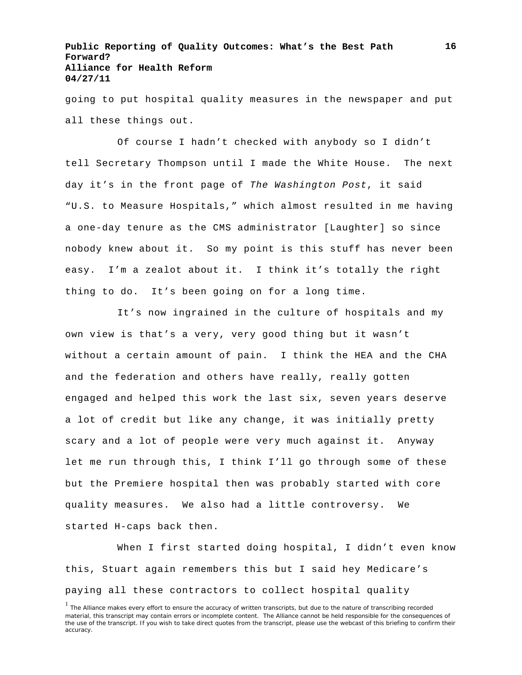going to put hospital quality measures in the newspaper and put all these things out.

Of course I hadn't checked with anybody so I didn't tell Secretary Thompson until I made the White House. The next day it's in the front page of *The Washington Post*, it said "U.S. to Measure Hospitals," which almost resulted in me having a one-day tenure as the CMS administrator [Laughter] so since nobody knew about it. So my point is this stuff has never been easy. I'm a zealot about it. I think it's totally the right thing to do. It's been going on for a long time.

It's now ingrained in the culture of hospitals and my own view is that's a very, very good thing but it wasn't without a certain amount of pain. I think the HEA and the CHA and the federation and others have really, really gotten engaged and helped this work the last six, seven years deserve a lot of credit but like any change, it was initially pretty scary and a lot of people were very much against it. Anyway let me run through this, I think I'll go through some of these but the Premiere hospital then was probably started with core quality measures. We also had a little controversy. We started H-caps back then.

When I first started doing hospital, I didn't even know this, Stuart again remembers this but I said hey Medicare's paying all these contractors to collect hospital quality

<sup>&</sup>lt;sup>1</sup> The Alliance makes every effort to ensure the accuracy of written transcripts, but due to the nature of transcribing recorded material, this transcript may contain errors or incomplete content. The Alliance cannot be held responsible for the consequences of the use of the transcript. If you wish to take direct quotes from the transcript, please use the webcast of this briefing to confirm their accuracy.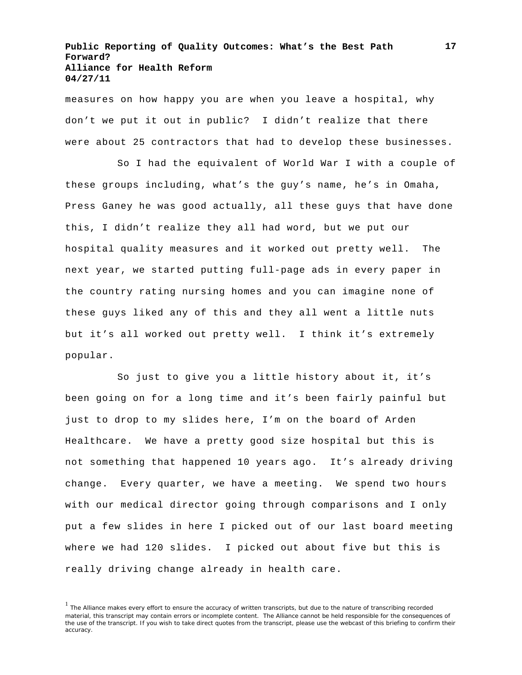measures on how happy you are when you leave a hospital, why don't we put it out in public? I didn't realize that there were about 25 contractors that had to develop these businesses.

So I had the equivalent of World War I with a couple of these groups including, what's the guy's name, he's in Omaha, Press Ganey he was good actually, all these guys that have done this, I didn't realize they all had word, but we put our hospital quality measures and it worked out pretty well. The next year, we started putting full-page ads in every paper in the country rating nursing homes and you can imagine none of these guys liked any of this and they all went a little nuts but it's all worked out pretty well. I think it's extremely popular.

So just to give you a little history about it, it's been going on for a long time and it's been fairly painful but just to drop to my slides here, I'm on the board of Arden Healthcare. We have a pretty good size hospital but this is not something that happened 10 years ago. It's already driving change. Every quarter, we have a meeting. We spend two hours with our medical director going through comparisons and I only put a few slides in here I picked out of our last board meeting where we had 120 slides. I picked out about five but this is really driving change already in health care.

<sup>&</sup>lt;sup>1</sup> The Alliance makes every effort to ensure the accuracy of written transcripts, but due to the nature of transcribing recorded material, this transcript may contain errors or incomplete content. The Alliance cannot be held responsible for the consequences of the use of the transcript. If you wish to take direct quotes from the transcript, please use the webcast of this briefing to confirm their accuracy.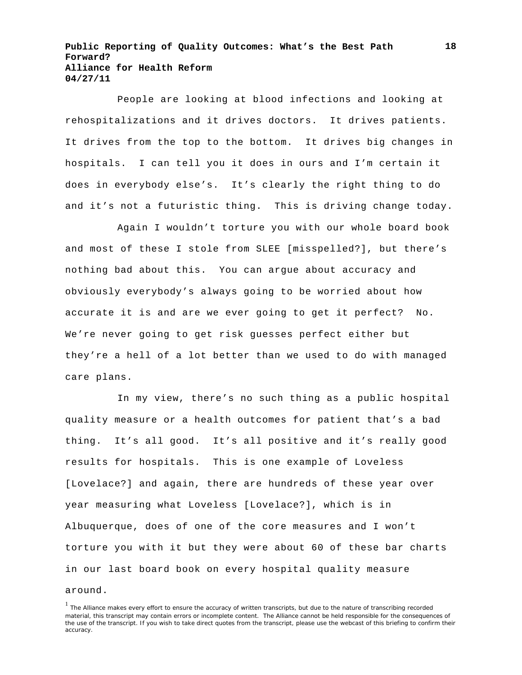People are looking at blood infections and looking at rehospitalizations and it drives doctors. It drives patients. It drives from the top to the bottom. It drives big changes in hospitals. I can tell you it does in ours and I'm certain it does in everybody else's. It's clearly the right thing to do and it's not a futuristic thing. This is driving change today.

Again I wouldn't torture you with our whole board book and most of these I stole from SLEE [misspelled?], but there's nothing bad about this. You can argue about accuracy and obviously everybody's always going to be worried about how accurate it is and are we ever going to get it perfect? No. We're never going to get risk guesses perfect either but they're a hell of a lot better than we used to do with managed care plans.

In my view, there's no such thing as a public hospital quality measure or a health outcomes for patient that's a bad thing. It's all good. It's all positive and it's really good results for hospitals. This is one example of Loveless [Lovelace?] and again, there are hundreds of these year over year measuring what Loveless [Lovelace?], which is in Albuquerque, does of one of the core measures and I won't torture you with it but they were about 60 of these bar charts in our last board book on every hospital quality measure

#### around.

 $<sup>1</sup>$  The Alliance makes every effort to ensure the accuracy of written transcripts, but due to the nature of transcribing recorded</sup> material, this transcript may contain errors or incomplete content. The Alliance cannot be held responsible for the consequences of the use of the transcript. If you wish to take direct quotes from the transcript, please use the webcast of this briefing to confirm their accuracy.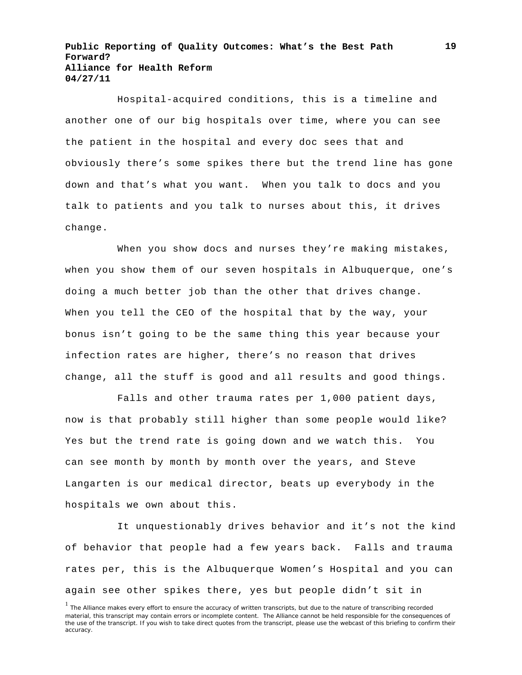Hospital-acquired conditions, this is a timeline and another one of our big hospitals over time, where you can see the patient in the hospital and every doc sees that and obviously there's some spikes there but the trend line has gone down and that's what you want. When you talk to docs and you talk to patients and you talk to nurses about this, it drives change.

When you show docs and nurses they're making mistakes, when you show them of our seven hospitals in Albuquerque, one's doing a much better job than the other that drives change. When you tell the CEO of the hospital that by the way, your bonus isn't going to be the same thing this year because your infection rates are higher, there's no reason that drives change, all the stuff is good and all results and good things.

Falls and other trauma rates per 1,000 patient days, now is that probably still higher than some people would like? Yes but the trend rate is going down and we watch this. You can see month by month by month over the years, and Steve Langarten is our medical director, beats up everybody in the hospitals we own about this.

It unquestionably drives behavior and it's not the kind of behavior that people had a few years back. Falls and trauma rates per, this is the Albuquerque Women's Hospital and you can again see other spikes there, yes but people didn't sit in

<sup>&</sup>lt;sup>1</sup> The Alliance makes every effort to ensure the accuracy of written transcripts, but due to the nature of transcribing recorded material, this transcript may contain errors or incomplete content. The Alliance cannot be held responsible for the consequences of the use of the transcript. If you wish to take direct quotes from the transcript, please use the webcast of this briefing to confirm their accuracy.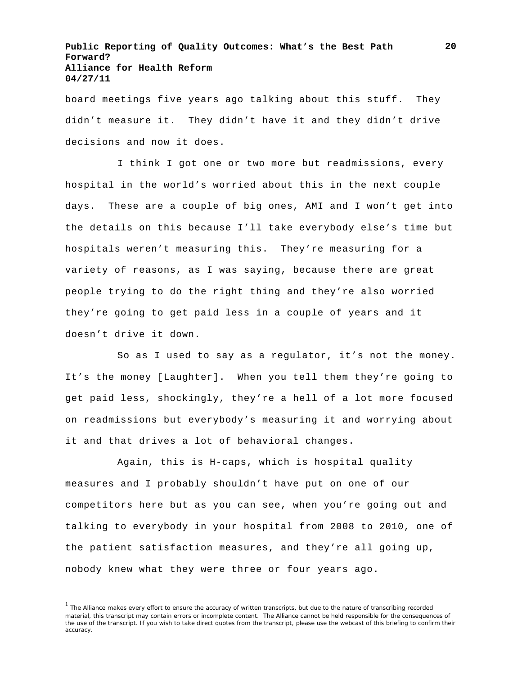board meetings five years ago talking about this stuff. They didn't measure it. They didn't have it and they didn't drive decisions and now it does.

I think I got one or two more but readmissions, every hospital in the world's worried about this in the next couple days. These are a couple of big ones, AMI and I won't get into the details on this because I'll take everybody else's time but hospitals weren't measuring this. They're measuring for a variety of reasons, as I was saying, because there are great people trying to do the right thing and they're also worried they're going to get paid less in a couple of years and it doesn't drive it down.

So as I used to say as a regulator, it's not the money. It's the money [Laughter]. When you tell them they're going to get paid less, shockingly, they're a hell of a lot more focused on readmissions but everybody's measuring it and worrying about it and that drives a lot of behavioral changes.

Again, this is H-caps, which is hospital quality measures and I probably shouldn't have put on one of our competitors here but as you can see, when you're going out and talking to everybody in your hospital from 2008 to 2010, one of the patient satisfaction measures, and they're all going up, nobody knew what they were three or four years ago.

<sup>&</sup>lt;sup>1</sup> The Alliance makes every effort to ensure the accuracy of written transcripts, but due to the nature of transcribing recorded material, this transcript may contain errors or incomplete content. The Alliance cannot be held responsible for the consequences of the use of the transcript. If you wish to take direct quotes from the transcript, please use the webcast of this briefing to confirm their accuracy.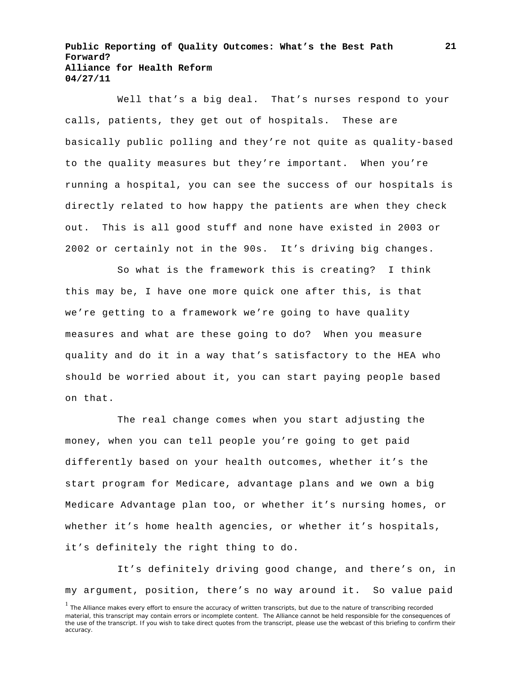Well that's a big deal. That's nurses respond to your calls, patients, they get out of hospitals. These are basically public polling and they're not quite as quality-based to the quality measures but they're important. When you're running a hospital, you can see the success of our hospitals is directly related to how happy the patients are when they check out. This is all good stuff and none have existed in 2003 or 2002 or certainly not in the 90s. It's driving big changes.

So what is the framework this is creating? I think this may be, I have one more quick one after this, is that we're getting to a framework we're going to have quality measures and what are these going to do? When you measure quality and do it in a way that's satisfactory to the HEA who should be worried about it, you can start paying people based on that.

The real change comes when you start adjusting the money, when you can tell people you're going to get paid differently based on your health outcomes, whether it's the start program for Medicare, advantage plans and we own a big Medicare Advantage plan too, or whether it's nursing homes, or whether it's home health agencies, or whether it's hospitals, it's definitely the right thing to do.

It's definitely driving good change, and there's on, in my argument, position, there's no way around it. So value paid

<sup>&</sup>lt;sup>1</sup> The Alliance makes every effort to ensure the accuracy of written transcripts, but due to the nature of transcribing recorded material, this transcript may contain errors or incomplete content. The Alliance cannot be held responsible for the consequences of the use of the transcript. If you wish to take direct quotes from the transcript, please use the webcast of this briefing to confirm their accuracy.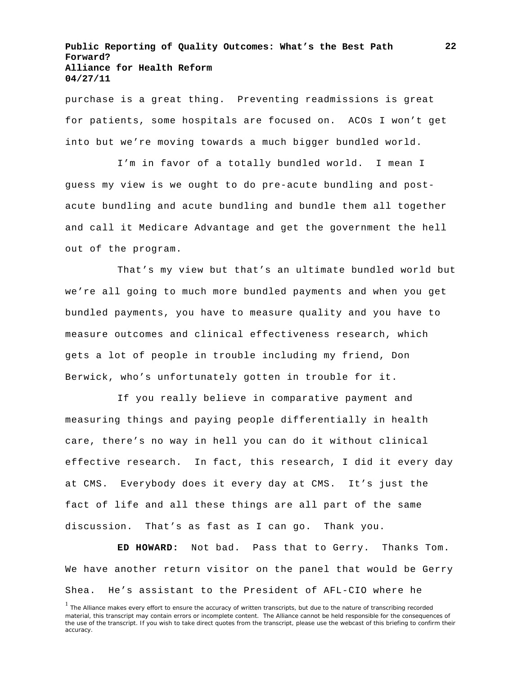purchase is a great thing. Preventing readmissions is great for patients, some hospitals are focused on. ACOs I won't get into but we're moving towards a much bigger bundled world.

I'm in favor of a totally bundled world. I mean I guess my view is we ought to do pre-acute bundling and postacute bundling and acute bundling and bundle them all together and call it Medicare Advantage and get the government the hell out of the program.

That's my view but that's an ultimate bundled world but we're all going to much more bundled payments and when you get bundled payments, you have to measure quality and you have to measure outcomes and clinical effectiveness research, which gets a lot of people in trouble including my friend, Don Berwick, who's unfortunately gotten in trouble for it.

If you really believe in comparative payment and measuring things and paying people differentially in health care, there's no way in hell you can do it without clinical effective research. In fact, this research, I did it every day at CMS. Everybody does it every day at CMS. It's just the fact of life and all these things are all part of the same discussion. That's as fast as I can go. Thank you.

**ED HOWARD:** Not bad. Pass that to Gerry. Thanks Tom. We have another return visitor on the panel that would be Gerry Shea. He's assistant to the President of AFL-CIO where he

<sup>&</sup>lt;sup>1</sup> The Alliance makes every effort to ensure the accuracy of written transcripts, but due to the nature of transcribing recorded material, this transcript may contain errors or incomplete content. The Alliance cannot be held responsible for the consequences of the use of the transcript. If you wish to take direct quotes from the transcript, please use the webcast of this briefing to confirm their accuracy.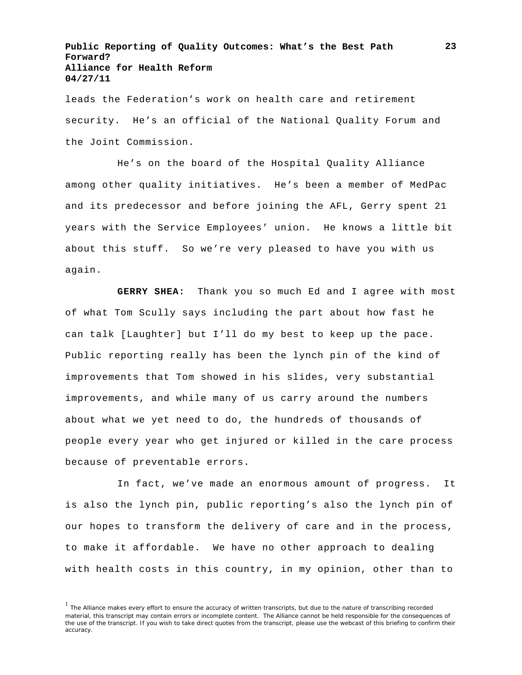leads the Federation's work on health care and retirement security. He's an official of the National Quality Forum and the Joint Commission.

He's on the board of the Hospital Quality Alliance among other quality initiatives. He's been a member of MedPac and its predecessor and before joining the AFL, Gerry spent 21 years with the Service Employees' union. He knows a little bit about this stuff. So we're very pleased to have you with us again.

**GERRY SHEA:** Thank you so much Ed and I agree with most of what Tom Scully says including the part about how fast he can talk [Laughter] but I'll do my best to keep up the pace. Public reporting really has been the lynch pin of the kind of improvements that Tom showed in his slides, very substantial improvements, and while many of us carry around the numbers about what we yet need to do, the hundreds of thousands of people every year who get injured or killed in the care process because of preventable errors.

In fact, we've made an enormous amount of progress. It is also the lynch pin, public reporting's also the lynch pin of our hopes to transform the delivery of care and in the process, to make it affordable. We have no other approach to dealing with health costs in this country, in my opinion, other than to

<sup>&</sup>lt;sup>1</sup> The Alliance makes every effort to ensure the accuracy of written transcripts, but due to the nature of transcribing recorded material, this transcript may contain errors or incomplete content. The Alliance cannot be held responsible for the consequences of the use of the transcript. If you wish to take direct quotes from the transcript, please use the webcast of this briefing to confirm their accuracy.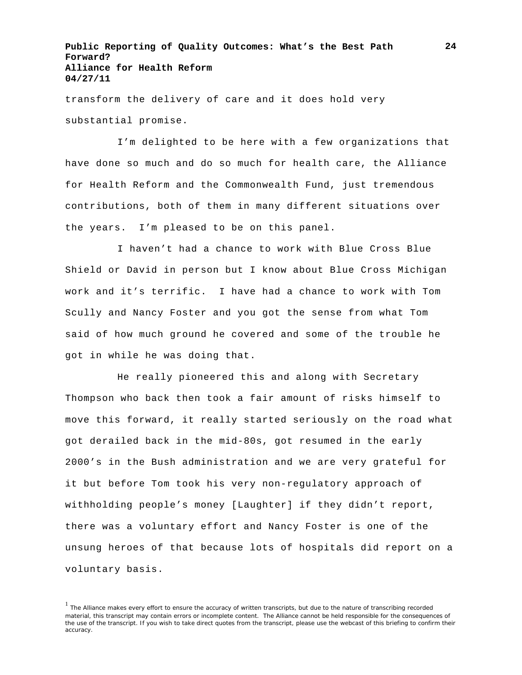transform the delivery of care and it does hold very substantial promise.

I'm delighted to be here with a few organizations that have done so much and do so much for health care, the Alliance for Health Reform and the Commonwealth Fund, just tremendous contributions, both of them in many different situations over the years. I'm pleased to be on this panel.

I haven't had a chance to work with Blue Cross Blue Shield or David in person but I know about Blue Cross Michigan work and it's terrific. I have had a chance to work with Tom Scully and Nancy Foster and you got the sense from what Tom said of how much ground he covered and some of the trouble he got in while he was doing that.

He really pioneered this and along with Secretary Thompson who back then took a fair amount of risks himself to move this forward, it really started seriously on the road what got derailed back in the mid-80s, got resumed in the early 2000's in the Bush administration and we are very grateful for it but before Tom took his very non-regulatory approach of withholding people's money [Laughter] if they didn't report, there was a voluntary effort and Nancy Foster is one of the unsung heroes of that because lots of hospitals did report on a voluntary basis.

<sup>1</sup> The Alliance makes every effort to ensure the accuracy of written transcripts, but due to the nature of transcribing recorded material, this transcript may contain errors or incomplete content. The Alliance cannot be held responsible for the consequences of the use of the transcript. If you wish to take direct quotes from the transcript, please use the webcast of this briefing to confirm their accuracy.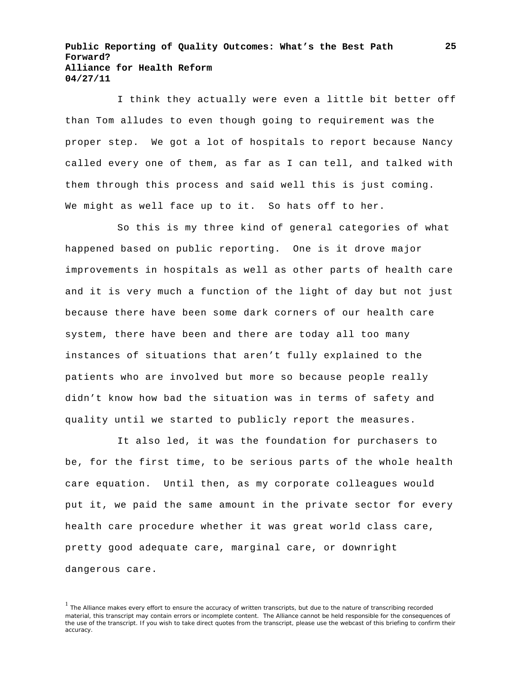I think they actually were even a little bit better off than Tom alludes to even though going to requirement was the proper step. We got a lot of hospitals to report because Nancy called every one of them, as far as I can tell, and talked with them through this process and said well this is just coming. We might as well face up to it. So hats off to her.

So this is my three kind of general categories of what happened based on public reporting. One is it drove major improvements in hospitals as well as other parts of health care and it is very much a function of the light of day but not just because there have been some dark corners of our health care system, there have been and there are today all too many instances of situations that aren't fully explained to the patients who are involved but more so because people really didn't know how bad the situation was in terms of safety and quality until we started to publicly report the measures.

It also led, it was the foundation for purchasers to be, for the first time, to be serious parts of the whole health care equation. Until then, as my corporate colleagues would put it, we paid the same amount in the private sector for every health care procedure whether it was great world class care, pretty good adequate care, marginal care, or downright dangerous care.

<sup>&</sup>lt;sup>1</sup> The Alliance makes every effort to ensure the accuracy of written transcripts, but due to the nature of transcribing recorded material, this transcript may contain errors or incomplete content. The Alliance cannot be held responsible for the consequences of the use of the transcript. If you wish to take direct quotes from the transcript, please use the webcast of this briefing to confirm their accuracy.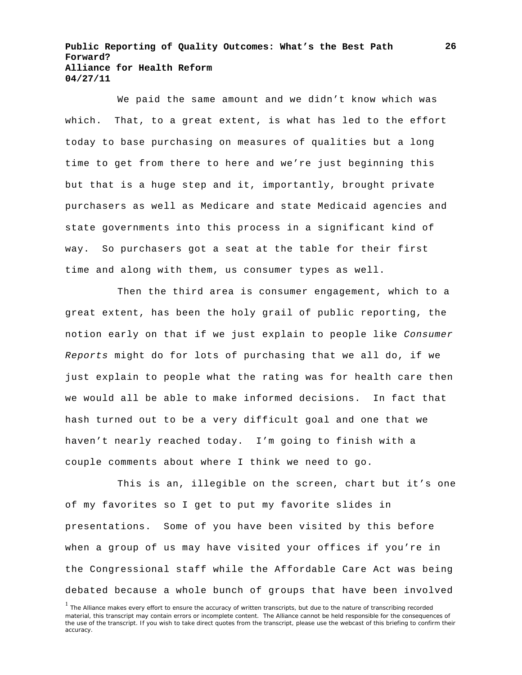We paid the same amount and we didn't know which was which. That, to a great extent, is what has led to the effort today to base purchasing on measures of qualities but a long time to get from there to here and we're just beginning this but that is a huge step and it, importantly, brought private purchasers as well as Medicare and state Medicaid agencies and state governments into this process in a significant kind of way. So purchasers got a seat at the table for their first time and along with them, us consumer types as well.

Then the third area is consumer engagement, which to a great extent, has been the holy grail of public reporting, the notion early on that if we just explain to people like *Consumer Reports* might do for lots of purchasing that we all do, if we just explain to people what the rating was for health care then we would all be able to make informed decisions. In fact that hash turned out to be a very difficult goal and one that we haven't nearly reached today. I'm going to finish with a couple comments about where I think we need to go.

This is an, illegible on the screen, chart but it's one of my favorites so I get to put my favorite slides in presentations. Some of you have been visited by this before when a group of us may have visited your offices if you're in the Congressional staff while the Affordable Care Act was being debated because a whole bunch of groups that have been involved

<sup>&</sup>lt;sup>1</sup> The Alliance makes every effort to ensure the accuracy of written transcripts, but due to the nature of transcribing recorded material, this transcript may contain errors or incomplete content. The Alliance cannot be held responsible for the consequences of the use of the transcript. If you wish to take direct quotes from the transcript, please use the webcast of this briefing to confirm their accuracy.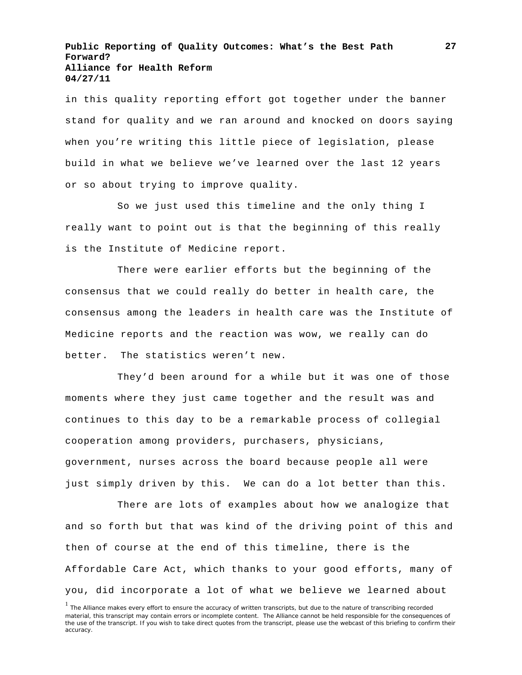in this quality reporting effort got together under the banner stand for quality and we ran around and knocked on doors saying when you're writing this little piece of legislation, please build in what we believe we've learned over the last 12 years or so about trying to improve quality.

So we just used this timeline and the only thing I really want to point out is that the beginning of this really is the Institute of Medicine report.

There were earlier efforts but the beginning of the consensus that we could really do better in health care, the consensus among the leaders in health care was the Institute of Medicine reports and the reaction was wow, we really can do better. The statistics weren't new.

They'd been around for a while but it was one of those moments where they just came together and the result was and continues to this day to be a remarkable process of collegial cooperation among providers, purchasers, physicians, government, nurses across the board because people all were just simply driven by this. We can do a lot better than this.

There are lots of examples about how we analogize that and so forth but that was kind of the driving point of this and then of course at the end of this timeline, there is the Affordable Care Act, which thanks to your good efforts, many of you, did incorporate a lot of what we believe we learned about

<sup>&</sup>lt;sup>1</sup> The Alliance makes every effort to ensure the accuracy of written transcripts, but due to the nature of transcribing recorded material, this transcript may contain errors or incomplete content. The Alliance cannot be held responsible for the consequences of the use of the transcript. If you wish to take direct quotes from the transcript, please use the webcast of this briefing to confirm their accuracy.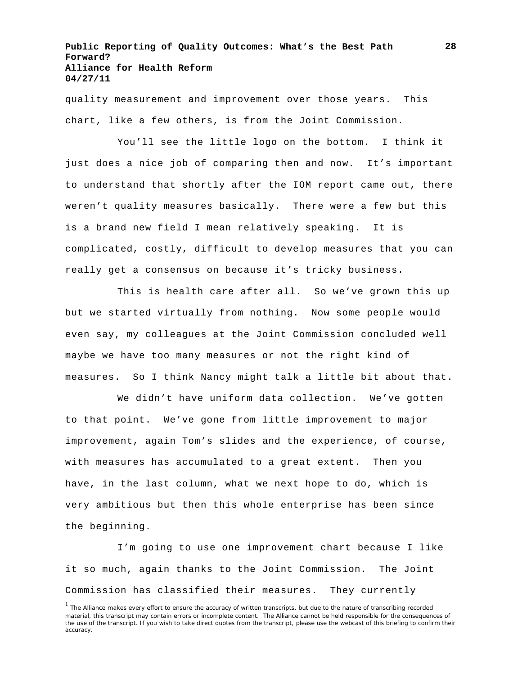quality measurement and improvement over those years. This chart, like a few others, is from the Joint Commission.

You'll see the little logo on the bottom. I think it just does a nice job of comparing then and now. It's important to understand that shortly after the IOM report came out, there weren't quality measures basically. There were a few but this is a brand new field I mean relatively speaking. It is complicated, costly, difficult to develop measures that you can really get a consensus on because it's tricky business.

This is health care after all. So we've grown this up but we started virtually from nothing. Now some people would even say, my colleagues at the Joint Commission concluded well maybe we have too many measures or not the right kind of measures. So I think Nancy might talk a little bit about that.

We didn't have uniform data collection. We've gotten to that point. We've gone from little improvement to major improvement, again Tom's slides and the experience, of course, with measures has accumulated to a great extent. Then you have, in the last column, what we next hope to do, which is very ambitious but then this whole enterprise has been since the beginning.

I'm going to use one improvement chart because I like it so much, again thanks to the Joint Commission. The Joint Commission has classified their measures. They currently

<sup>&</sup>lt;sup>1</sup> The Alliance makes every effort to ensure the accuracy of written transcripts, but due to the nature of transcribing recorded material, this transcript may contain errors or incomplete content. The Alliance cannot be held responsible for the consequences of the use of the transcript. If you wish to take direct quotes from the transcript, please use the webcast of this briefing to confirm their accuracy.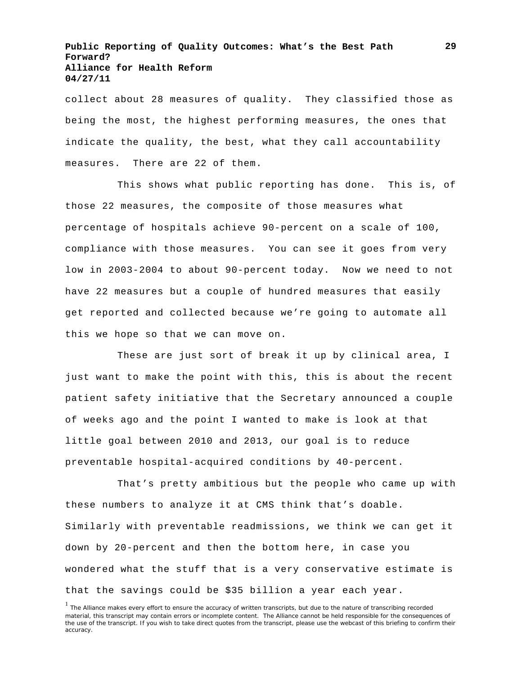collect about 28 measures of quality. They classified those as being the most, the highest performing measures, the ones that indicate the quality, the best, what they call accountability measures. There are 22 of them.

This shows what public reporting has done. This is, of those 22 measures, the composite of those measures what percentage of hospitals achieve 90-percent on a scale of 100, compliance with those measures. You can see it goes from very low in 2003-2004 to about 90-percent today. Now we need to not have 22 measures but a couple of hundred measures that easily get reported and collected because we're going to automate all this we hope so that we can move on.

These are just sort of break it up by clinical area, I just want to make the point with this, this is about the recent patient safety initiative that the Secretary announced a couple of weeks ago and the point I wanted to make is look at that little goal between 2010 and 2013, our goal is to reduce preventable hospital-acquired conditions by 40-percent.

That's pretty ambitious but the people who came up with these numbers to analyze it at CMS think that's doable. Similarly with preventable readmissions, we think we can get it down by 20-percent and then the bottom here, in case you wondered what the stuff that is a very conservative estimate is that the savings could be \$35 billion a year each year.

<sup>&</sup>lt;sup>1</sup> The Alliance makes every effort to ensure the accuracy of written transcripts, but due to the nature of transcribing recorded material, this transcript may contain errors or incomplete content. The Alliance cannot be held responsible for the consequences of the use of the transcript. If you wish to take direct quotes from the transcript, please use the webcast of this briefing to confirm their accuracy.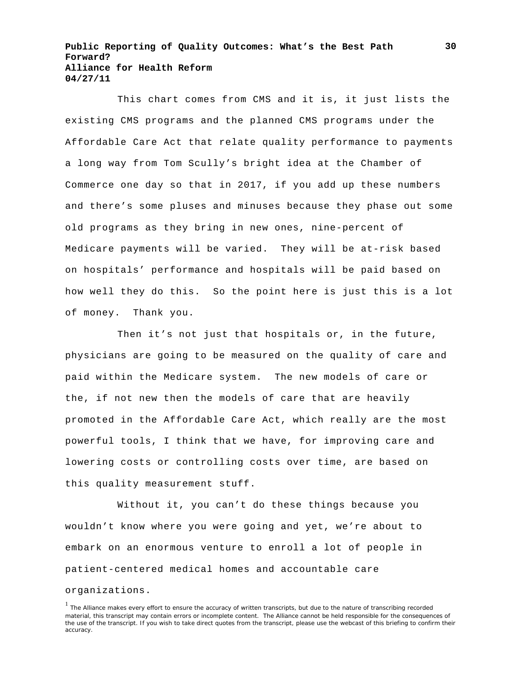This chart comes from CMS and it is, it just lists the existing CMS programs and the planned CMS programs under the Affordable Care Act that relate quality performance to payments a long way from Tom Scully's bright idea at the Chamber of Commerce one day so that in 2017, if you add up these numbers and there's some pluses and minuses because they phase out some old programs as they bring in new ones, nine-percent of Medicare payments will be varied. They will be at-risk based on hospitals' performance and hospitals will be paid based on how well they do this. So the point here is just this is a lot of money. Thank you.

Then it's not just that hospitals or, in the future, physicians are going to be measured on the quality of care and paid within the Medicare system. The new models of care or the, if not new then the models of care that are heavily promoted in the Affordable Care Act, which really are the most powerful tools, I think that we have, for improving care and lowering costs or controlling costs over time, are based on this quality measurement stuff.

Without it, you can't do these things because you wouldn't know where you were going and yet, we're about to embark on an enormous venture to enroll a lot of people in patient-centered medical homes and accountable care

#### organizations.

<sup>&</sup>lt;sup>1</sup> The Alliance makes every effort to ensure the accuracy of written transcripts, but due to the nature of transcribing recorded material, this transcript may contain errors or incomplete content. The Alliance cannot be held responsible for the consequences of the use of the transcript. If you wish to take direct quotes from the transcript, please use the webcast of this briefing to confirm their accuracy.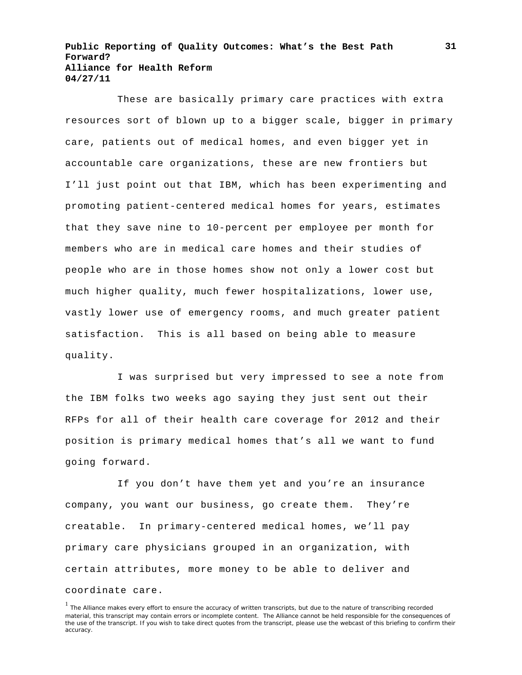These are basically primary care practices with extra resources sort of blown up to a bigger scale, bigger in primary care, patients out of medical homes, and even bigger yet in accountable care organizations, these are new frontiers but I'll just point out that IBM, which has been experimenting and promoting patient-centered medical homes for years, estimates that they save nine to 10-percent per employee per month for members who are in medical care homes and their studies of people who are in those homes show not only a lower cost but much higher quality, much fewer hospitalizations, lower use, vastly lower use of emergency rooms, and much greater patient satisfaction. This is all based on being able to measure quality.

I was surprised but very impressed to see a note from the IBM folks two weeks ago saying they just sent out their RFPs for all of their health care coverage for 2012 and their position is primary medical homes that's all we want to fund going forward.

If you don't have them yet and you're an insurance company, you want our business, go create them. They're creatable. In primary-centered medical homes, we'll pay primary care physicians grouped in an organization, with certain attributes, more money to be able to deliver and coordinate care.

<sup>&</sup>lt;sup>1</sup> The Alliance makes every effort to ensure the accuracy of written transcripts, but due to the nature of transcribing recorded material, this transcript may contain errors or incomplete content. The Alliance cannot be held responsible for the consequences of the use of the transcript. If you wish to take direct quotes from the transcript, please use the webcast of this briefing to confirm their accuracy.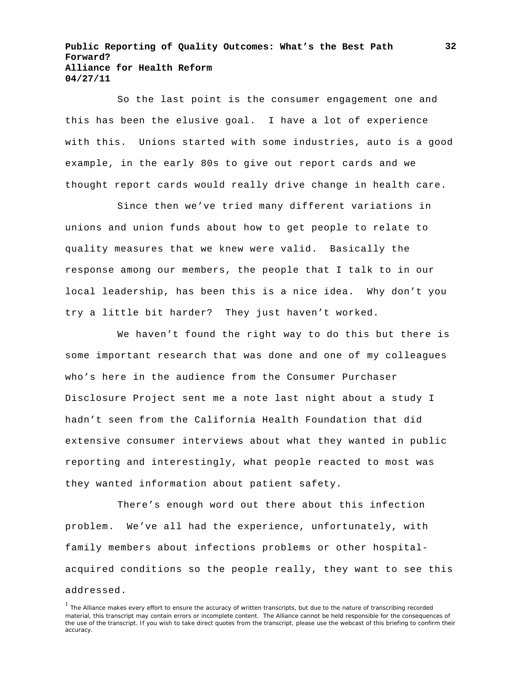So the last point is the consumer engagement one and this has been the elusive goal. I have a lot of experience with this. Unions started with some industries, auto is a good example, in the early 80s to give out report cards and we thought report cards would really drive change in health care.

Since then we've tried many different variations in unions and union funds about how to get people to relate to quality measures that we knew were valid. Basically the response among our members, the people that I talk to in our local leadership, has been this is a nice idea. Why don't you try a little bit harder? They just haven't worked.

We haven't found the right way to do this but there is some important research that was done and one of my colleagues who's here in the audience from the Consumer Purchaser Disclosure Project sent me a note last night about a study I hadn't seen from the California Health Foundation that did extensive consumer interviews about what they wanted in public reporting and interestingly, what people reacted to most was they wanted information about patient safety.

There's enough word out there about this infection problem. We've all had the experience, unfortunately, with family members about infections problems or other hospitalacquired conditions so the people really, they want to see this addressed.

<sup>&</sup>lt;sup>1</sup> The Alliance makes every effort to ensure the accuracy of written transcripts, but due to the nature of transcribing recorded material, this transcript may contain errors or incomplete content. The Alliance cannot be held responsible for the consequences of the use of the transcript. If you wish to take direct quotes from the transcript, please use the webcast of this briefing to confirm their accuracy.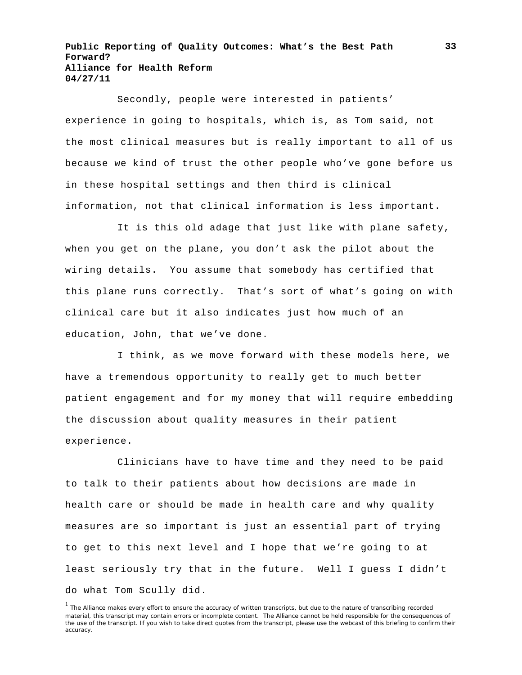Secondly, people were interested in patients' experience in going to hospitals, which is, as Tom said, not the most clinical measures but is really important to all of us because we kind of trust the other people who've gone before us in these hospital settings and then third is clinical information, not that clinical information is less important.

It is this old adage that just like with plane safety, when you get on the plane, you don't ask the pilot about the wiring details. You assume that somebody has certified that this plane runs correctly. That's sort of what's going on with clinical care but it also indicates just how much of an education, John, that we've done.

I think, as we move forward with these models here, we have a tremendous opportunity to really get to much better patient engagement and for my money that will require embedding the discussion about quality measures in their patient experience.

Clinicians have to have time and they need to be paid to talk to their patients about how decisions are made in health care or should be made in health care and why quality measures are so important is just an essential part of trying to get to this next level and I hope that we're going to at least seriously try that in the future. Well I guess I didn't do what Tom Scully did.

<sup>&</sup>lt;sup>1</sup> The Alliance makes every effort to ensure the accuracy of written transcripts, but due to the nature of transcribing recorded material, this transcript may contain errors or incomplete content. The Alliance cannot be held responsible for the consequences of the use of the transcript. If you wish to take direct quotes from the transcript, please use the webcast of this briefing to confirm their accuracy.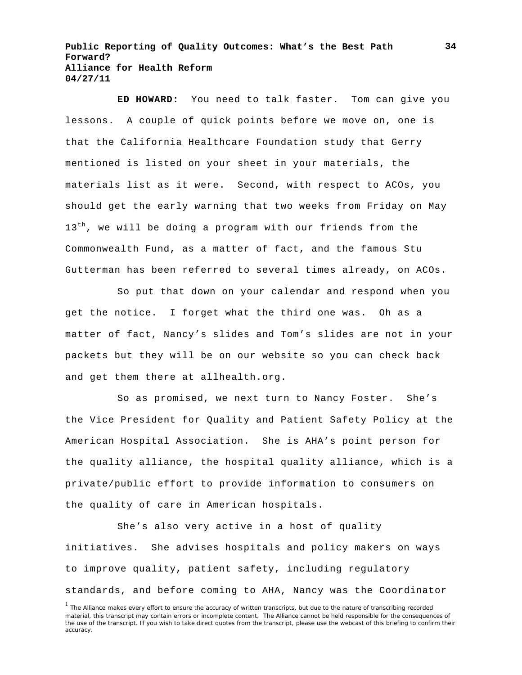**ED HOWARD:** You need to talk faster. Tom can give you lessons. A couple of quick points before we move on, one is that the California Healthcare Foundation study that Gerry mentioned is listed on your sheet in your materials, the materials list as it were. Second, with respect to ACOs, you should get the early warning that two weeks from Friday on May  $13<sup>th</sup>$ , we will be doing a program with our friends from the Commonwealth Fund, as a matter of fact, and the famous Stu Gutterman has been referred to several times already, on ACOs.

So put that down on your calendar and respond when you get the notice. I forget what the third one was. Oh as a matter of fact, Nancy's slides and Tom's slides are not in your packets but they will be on our website so you can check back and get them there at allhealth.org.

So as promised, we next turn to Nancy Foster. She's the Vice President for Quality and Patient Safety Policy at the American Hospital Association. She is AHA's point person for the quality alliance, the hospital quality alliance, which is a private/public effort to provide information to consumers on the quality of care in American hospitals.

She's also very active in a host of quality initiatives. She advises hospitals and policy makers on ways to improve quality, patient safety, including regulatory standards, and before coming to AHA, Nancy was the Coordinator

 $<sup>1</sup>$  The Alliance makes every effort to ensure the accuracy of written transcripts, but due to the nature of transcribing recorded</sup> material, this transcript may contain errors or incomplete content. The Alliance cannot be held responsible for the consequences of the use of the transcript. If you wish to take direct quotes from the transcript, please use the webcast of this briefing to confirm their accuracy.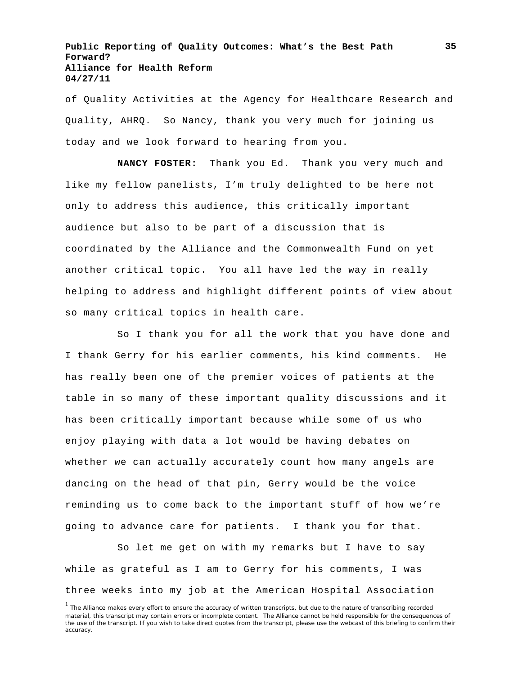of Quality Activities at the Agency for Healthcare Research and Quality, AHRQ. So Nancy, thank you very much for joining us today and we look forward to hearing from you.

**NANCY FOSTER:** Thank you Ed. Thank you very much and like my fellow panelists, I'm truly delighted to be here not only to address this audience, this critically important audience but also to be part of a discussion that is coordinated by the Alliance and the Commonwealth Fund on yet another critical topic. You all have led the way in really helping to address and highlight different points of view about so many critical topics in health care.

So I thank you for all the work that you have done and I thank Gerry for his earlier comments, his kind comments. He has really been one of the premier voices of patients at the table in so many of these important quality discussions and it has been critically important because while some of us who enjoy playing with data a lot would be having debates on whether we can actually accurately count how many angels are dancing on the head of that pin, Gerry would be the voice reminding us to come back to the important stuff of how we're going to advance care for patients. I thank you for that.

So let me get on with my remarks but I have to say while as grateful as I am to Gerry for his comments, I was three weeks into my job at the American Hospital Association

<sup>&</sup>lt;sup>1</sup> The Alliance makes every effort to ensure the accuracy of written transcripts, but due to the nature of transcribing recorded material, this transcript may contain errors or incomplete content. The Alliance cannot be held responsible for the consequences of the use of the transcript. If you wish to take direct quotes from the transcript, please use the webcast of this briefing to confirm their accuracy.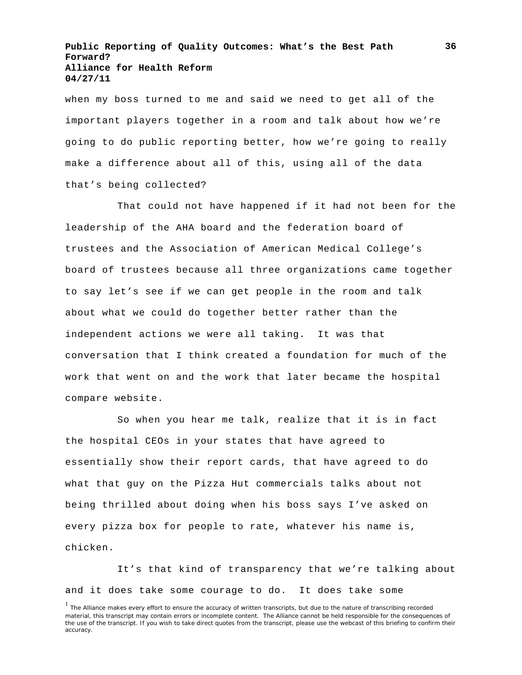when my boss turned to me and said we need to get all of the important players together in a room and talk about how we're going to do public reporting better, how we're going to really make a difference about all of this, using all of the data that's being collected?

That could not have happened if it had not been for the leadership of the AHA board and the federation board of trustees and the Association of American Medical College's board of trustees because all three organizations came together to say let's see if we can get people in the room and talk about what we could do together better rather than the independent actions we were all taking. It was that conversation that I think created a foundation for much of the work that went on and the work that later became the hospital compare website.

So when you hear me talk, realize that it is in fact the hospital CEOs in your states that have agreed to essentially show their report cards, that have agreed to do what that guy on the Pizza Hut commercials talks about not being thrilled about doing when his boss says I've asked on every pizza box for people to rate, whatever his name is, chicken.

It's that kind of transparency that we're talking about and it does take some courage to do. It does take some

<sup>&</sup>lt;sup>1</sup> The Alliance makes every effort to ensure the accuracy of written transcripts, but due to the nature of transcribing recorded material, this transcript may contain errors or incomplete content. The Alliance cannot be held responsible for the consequences of the use of the transcript. If you wish to take direct quotes from the transcript, please use the webcast of this briefing to confirm their accuracy.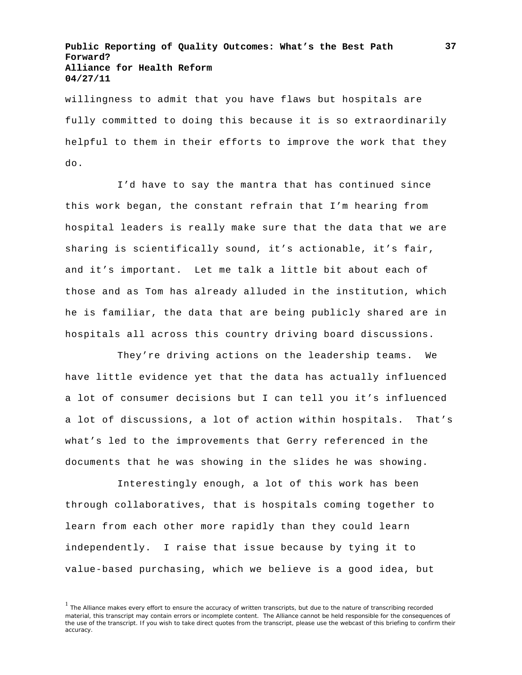willingness to admit that you have flaws but hospitals are fully committed to doing this because it is so extraordinarily helpful to them in their efforts to improve the work that they do.

I'd have to say the mantra that has continued since this work began, the constant refrain that I'm hearing from hospital leaders is really make sure that the data that we are sharing is scientifically sound, it's actionable, it's fair, and it's important. Let me talk a little bit about each of those and as Tom has already alluded in the institution, which he is familiar, the data that are being publicly shared are in hospitals all across this country driving board discussions.

They're driving actions on the leadership teams. We have little evidence yet that the data has actually influenced a lot of consumer decisions but I can tell you it's influenced a lot of discussions, a lot of action within hospitals. That's what's led to the improvements that Gerry referenced in the documents that he was showing in the slides he was showing.

Interestingly enough, a lot of this work has been through collaboratives, that is hospitals coming together to learn from each other more rapidly than they could learn independently. I raise that issue because by tying it to value-based purchasing, which we believe is a good idea, but

<sup>&</sup>lt;sup>1</sup> The Alliance makes every effort to ensure the accuracy of written transcripts, but due to the nature of transcribing recorded material, this transcript may contain errors or incomplete content. The Alliance cannot be held responsible for the consequences of the use of the transcript. If you wish to take direct quotes from the transcript, please use the webcast of this briefing to confirm their accuracy.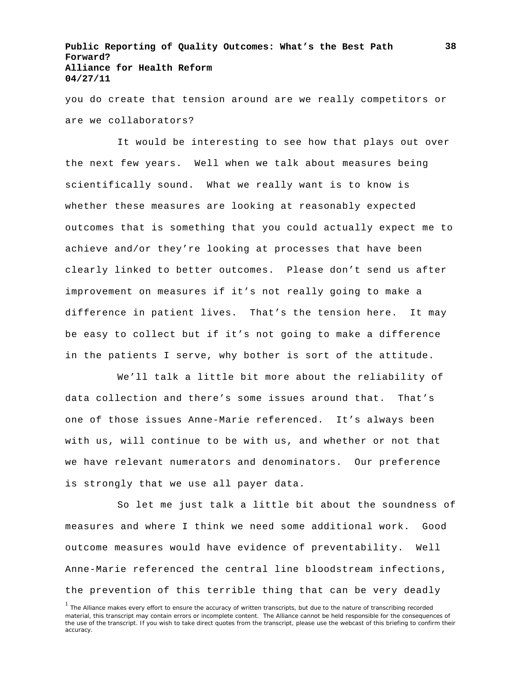you do create that tension around are we really competitors or are we collaborators?

It would be interesting to see how that plays out over the next few years. Well when we talk about measures being scientifically sound. What we really want is to know is whether these measures are looking at reasonably expected outcomes that is something that you could actually expect me to achieve and/or they're looking at processes that have been clearly linked to better outcomes. Please don't send us after improvement on measures if it's not really going to make a difference in patient lives. That's the tension here. It may be easy to collect but if it's not going to make a difference in the patients I serve, why bother is sort of the attitude.

We'll talk a little bit more about the reliability of data collection and there's some issues around that. That's one of those issues Anne-Marie referenced. It's always been with us, will continue to be with us, and whether or not that we have relevant numerators and denominators. Our preference is strongly that we use all payer data.

So let me just talk a little bit about the soundness of measures and where I think we need some additional work. Good outcome measures would have evidence of preventability. Well Anne-Marie referenced the central line bloodstream infections, the prevention of this terrible thing that can be very deadly

<sup>&</sup>lt;sup>1</sup> The Alliance makes every effort to ensure the accuracy of written transcripts, but due to the nature of transcribing recorded material, this transcript may contain errors or incomplete content. The Alliance cannot be held responsible for the consequences of the use of the transcript. If you wish to take direct quotes from the transcript, please use the webcast of this briefing to confirm their accuracy.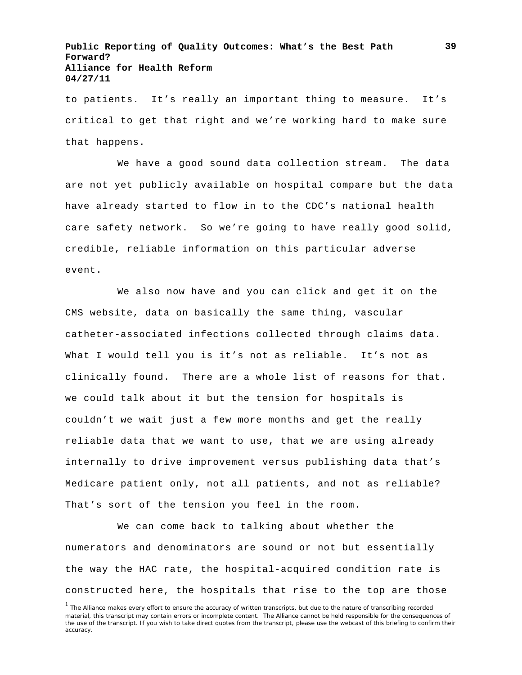to patients. It's really an important thing to measure. It's critical to get that right and we're working hard to make sure that happens.

We have a good sound data collection stream. The data are not yet publicly available on hospital compare but the data have already started to flow in to the CDC's national health care safety network. So we're going to have really good solid, credible, reliable information on this particular adverse event.

We also now have and you can click and get it on the CMS website, data on basically the same thing, vascular catheter-associated infections collected through claims data. What I would tell you is it's not as reliable. It's not as clinically found. There are a whole list of reasons for that. we could talk about it but the tension for hospitals is couldn't we wait just a few more months and get the really reliable data that we want to use, that we are using already internally to drive improvement versus publishing data that's Medicare patient only, not all patients, and not as reliable? That's sort of the tension you feel in the room.

We can come back to talking about whether the numerators and denominators are sound or not but essentially the way the HAC rate, the hospital-acquired condition rate is constructed here, the hospitals that rise to the top are those

<sup>&</sup>lt;sup>1</sup> The Alliance makes every effort to ensure the accuracy of written transcripts, but due to the nature of transcribing recorded material, this transcript may contain errors or incomplete content. The Alliance cannot be held responsible for the consequences of the use of the transcript. If you wish to take direct quotes from the transcript, please use the webcast of this briefing to confirm their accuracy.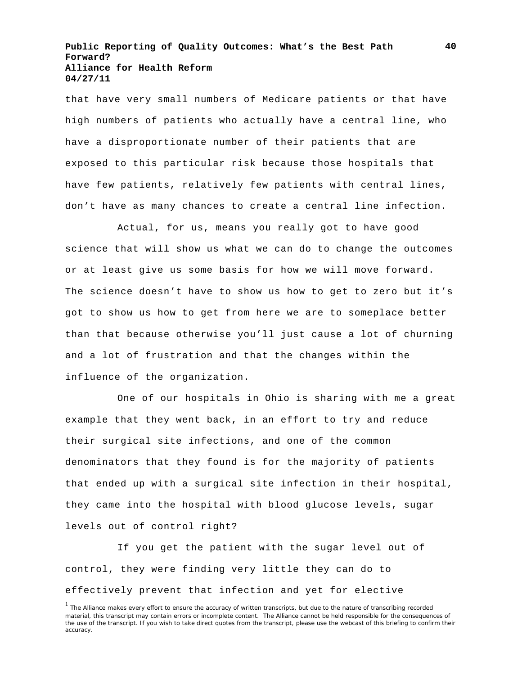that have very small numbers of Medicare patients or that have high numbers of patients who actually have a central line, who have a disproportionate number of their patients that are exposed to this particular risk because those hospitals that have few patients, relatively few patients with central lines, don't have as many chances to create a central line infection.

Actual, for us, means you really got to have good science that will show us what we can do to change the outcomes or at least give us some basis for how we will move forward. The science doesn't have to show us how to get to zero but it's got to show us how to get from here we are to someplace better than that because otherwise you'll just cause a lot of churning and a lot of frustration and that the changes within the influence of the organization.

One of our hospitals in Ohio is sharing with me a great example that they went back, in an effort to try and reduce their surgical site infections, and one of the common denominators that they found is for the majority of patients that ended up with a surgical site infection in their hospital, they came into the hospital with blood glucose levels, sugar levels out of control right?

If you get the patient with the sugar level out of control, they were finding very little they can do to effectively prevent that infection and yet for elective

<sup>&</sup>lt;sup>1</sup> The Alliance makes every effort to ensure the accuracy of written transcripts, but due to the nature of transcribing recorded material, this transcript may contain errors or incomplete content. The Alliance cannot be held responsible for the consequences of the use of the transcript. If you wish to take direct quotes from the transcript, please use the webcast of this briefing to confirm their accuracy.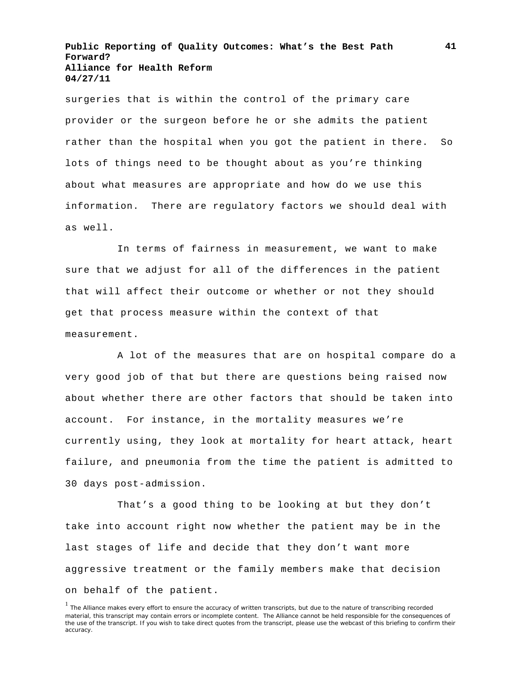surgeries that is within the control of the primary care provider or the surgeon before he or she admits the patient rather than the hospital when you got the patient in there. So lots of things need to be thought about as you're thinking about what measures are appropriate and how do we use this information. There are regulatory factors we should deal with as well.

In terms of fairness in measurement, we want to make sure that we adjust for all of the differences in the patient that will affect their outcome or whether or not they should get that process measure within the context of that measurement.

A lot of the measures that are on hospital compare do a very good job of that but there are questions being raised now about whether there are other factors that should be taken into account. For instance, in the mortality measures we're currently using, they look at mortality for heart attack, heart failure, and pneumonia from the time the patient is admitted to 30 days post-admission.

That's a good thing to be looking at but they don't take into account right now whether the patient may be in the last stages of life and decide that they don't want more aggressive treatment or the family members make that decision on behalf of the patient.

<sup>&</sup>lt;sup>1</sup> The Alliance makes every effort to ensure the accuracy of written transcripts, but due to the nature of transcribing recorded material, this transcript may contain errors or incomplete content. The Alliance cannot be held responsible for the consequences of the use of the transcript. If you wish to take direct quotes from the transcript, please use the webcast of this briefing to confirm their accuracy.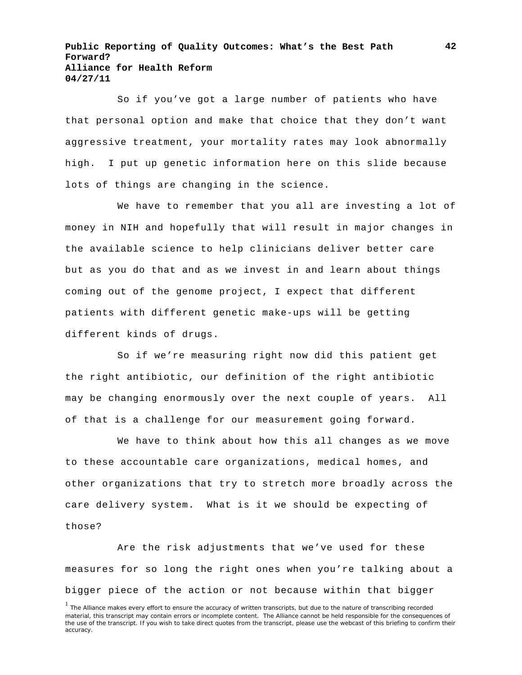So if you've got a large number of patients who have that personal option and make that choice that they don't want aggressive treatment, your mortality rates may look abnormally high. I put up genetic information here on this slide because lots of things are changing in the science.

We have to remember that you all are investing a lot of money in NIH and hopefully that will result in major changes in the available science to help clinicians deliver better care but as you do that and as we invest in and learn about things coming out of the genome project, I expect that different patients with different genetic make-ups will be getting different kinds of drugs.

So if we're measuring right now did this patient get the right antibiotic, our definition of the right antibiotic may be changing enormously over the next couple of years. All of that is a challenge for our measurement going forward.

We have to think about how this all changes as we move to these accountable care organizations, medical homes, and other organizations that try to stretch more broadly across the care delivery system. What is it we should be expecting of those?

Are the risk adjustments that we've used for these measures for so long the right ones when you're talking about a bigger piece of the action or not because within that bigger

<sup>&</sup>lt;sup>1</sup> The Alliance makes every effort to ensure the accuracy of written transcripts, but due to the nature of transcribing recorded material, this transcript may contain errors or incomplete content. The Alliance cannot be held responsible for the consequences of the use of the transcript. If you wish to take direct quotes from the transcript, please use the webcast of this briefing to confirm their accuracy.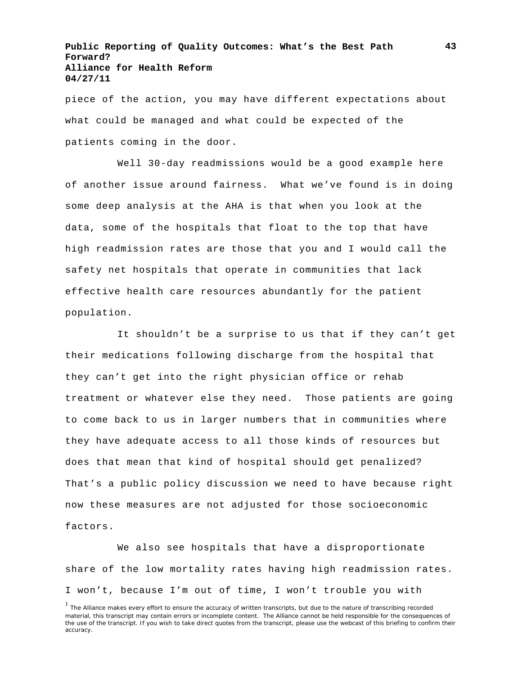piece of the action, you may have different expectations about what could be managed and what could be expected of the patients coming in the door.

Well 30-day readmissions would be a good example here of another issue around fairness. What we've found is in doing some deep analysis at the AHA is that when you look at the data, some of the hospitals that float to the top that have high readmission rates are those that you and I would call the safety net hospitals that operate in communities that lack effective health care resources abundantly for the patient population.

It shouldn't be a surprise to us that if they can't get their medications following discharge from the hospital that they can't get into the right physician office or rehab treatment or whatever else they need. Those patients are going to come back to us in larger numbers that in communities where they have adequate access to all those kinds of resources but does that mean that kind of hospital should get penalized? That's a public policy discussion we need to have because right now these measures are not adjusted for those socioeconomic factors.

We also see hospitals that have a disproportionate share of the low mortality rates having high readmission rates. I won't, because I'm out of time, I won't trouble you with

<sup>&</sup>lt;sup>1</sup> The Alliance makes every effort to ensure the accuracy of written transcripts, but due to the nature of transcribing recorded material, this transcript may contain errors or incomplete content. The Alliance cannot be held responsible for the consequences of the use of the transcript. If you wish to take direct quotes from the transcript, please use the webcast of this briefing to confirm their accuracy.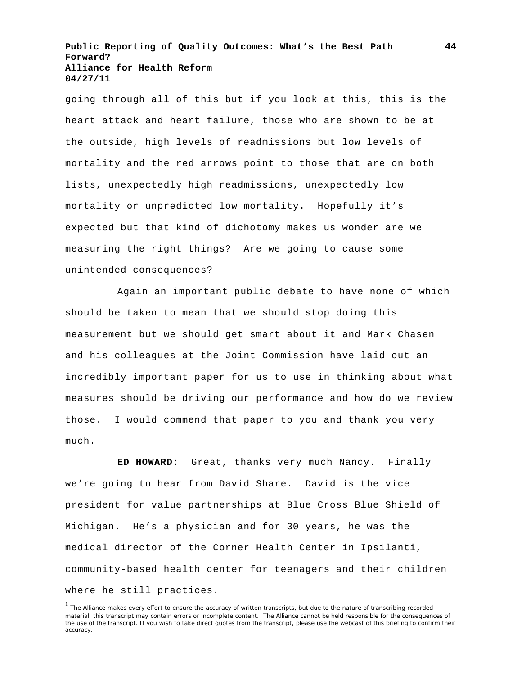going through all of this but if you look at this, this is the heart attack and heart failure, those who are shown to be at the outside, high levels of readmissions but low levels of mortality and the red arrows point to those that are on both lists, unexpectedly high readmissions, unexpectedly low mortality or unpredicted low mortality. Hopefully it's expected but that kind of dichotomy makes us wonder are we measuring the right things? Are we going to cause some unintended consequences?

Again an important public debate to have none of which should be taken to mean that we should stop doing this measurement but we should get smart about it and Mark Chasen and his colleagues at the Joint Commission have laid out an incredibly important paper for us to use in thinking about what measures should be driving our performance and how do we review those. I would commend that paper to you and thank you very much.

**ED HOWARD:** Great, thanks very much Nancy. Finally we're going to hear from David Share. David is the vice president for value partnerships at Blue Cross Blue Shield of Michigan. He's a physician and for 30 years, he was the medical director of the Corner Health Center in Ipsilanti, community-based health center for teenagers and their children where he still practices.

<sup>&</sup>lt;sup>1</sup> The Alliance makes every effort to ensure the accuracy of written transcripts, but due to the nature of transcribing recorded material, this transcript may contain errors or incomplete content. The Alliance cannot be held responsible for the consequences of the use of the transcript. If you wish to take direct quotes from the transcript, please use the webcast of this briefing to confirm their accuracy.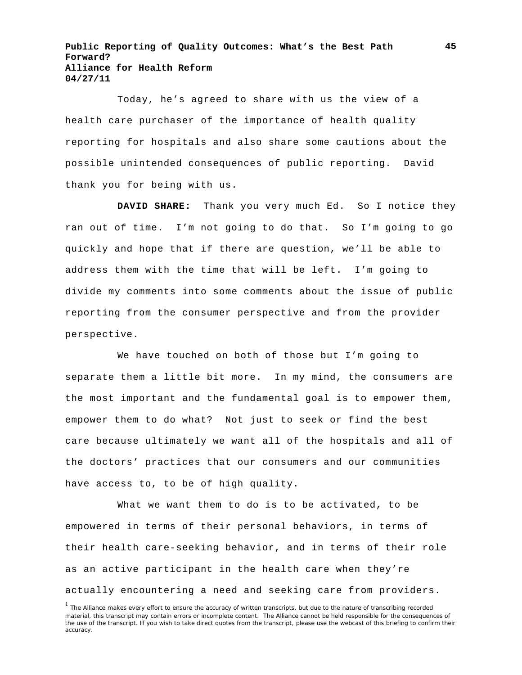Today, he's agreed to share with us the view of a health care purchaser of the importance of health quality reporting for hospitals and also share some cautions about the possible unintended consequences of public reporting. David thank you for being with us.

**DAVID SHARE:** Thank you very much Ed. So I notice they ran out of time. I'm not going to do that. So I'm going to go quickly and hope that if there are question, we'll be able to address them with the time that will be left. I'm going to divide my comments into some comments about the issue of public reporting from the consumer perspective and from the provider perspective.

We have touched on both of those but I'm going to separate them a little bit more. In my mind, the consumers are the most important and the fundamental goal is to empower them, empower them to do what? Not just to seek or find the best care because ultimately we want all of the hospitals and all of the doctors' practices that our consumers and our communities have access to, to be of high quality.

What we want them to do is to be activated, to be empowered in terms of their personal behaviors, in terms of their health care-seeking behavior, and in terms of their role as an active participant in the health care when they're actually encountering a need and seeking care from providers.

 $<sup>1</sup>$  The Alliance makes every effort to ensure the accuracy of written transcripts, but due to the nature of transcribing recorded</sup> material, this transcript may contain errors or incomplete content. The Alliance cannot be held responsible for the consequences of the use of the transcript. If you wish to take direct quotes from the transcript, please use the webcast of this briefing to confirm their accuracy.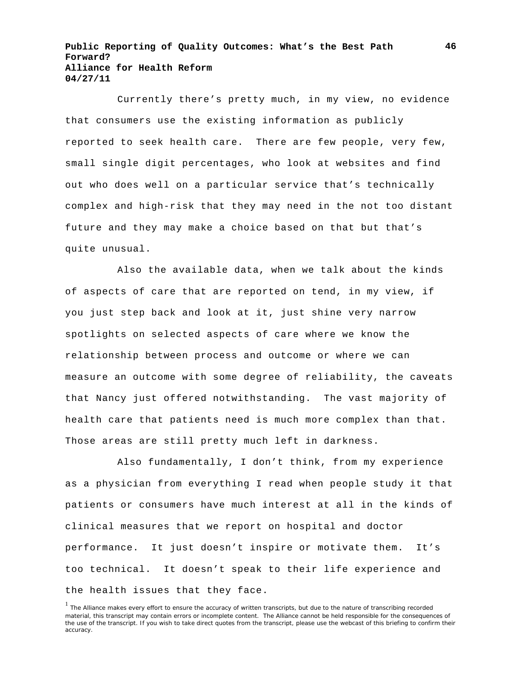Currently there's pretty much, in my view, no evidence that consumers use the existing information as publicly reported to seek health care. There are few people, very few, small single digit percentages, who look at websites and find out who does well on a particular service that's technically complex and high-risk that they may need in the not too distant future and they may make a choice based on that but that's quite unusual.

Also the available data, when we talk about the kinds of aspects of care that are reported on tend, in my view, if you just step back and look at it, just shine very narrow spotlights on selected aspects of care where we know the relationship between process and outcome or where we can measure an outcome with some degree of reliability, the caveats that Nancy just offered notwithstanding. The vast majority of health care that patients need is much more complex than that. Those areas are still pretty much left in darkness.

Also fundamentally, I don't think, from my experience as a physician from everything I read when people study it that patients or consumers have much interest at all in the kinds of clinical measures that we report on hospital and doctor performance. It just doesn't inspire or motivate them. It's too technical. It doesn't speak to their life experience and the health issues that they face.

<sup>&</sup>lt;sup>1</sup> The Alliance makes every effort to ensure the accuracy of written transcripts, but due to the nature of transcribing recorded material, this transcript may contain errors or incomplete content. The Alliance cannot be held responsible for the consequences of the use of the transcript. If you wish to take direct quotes from the transcript, please use the webcast of this briefing to confirm their accuracy.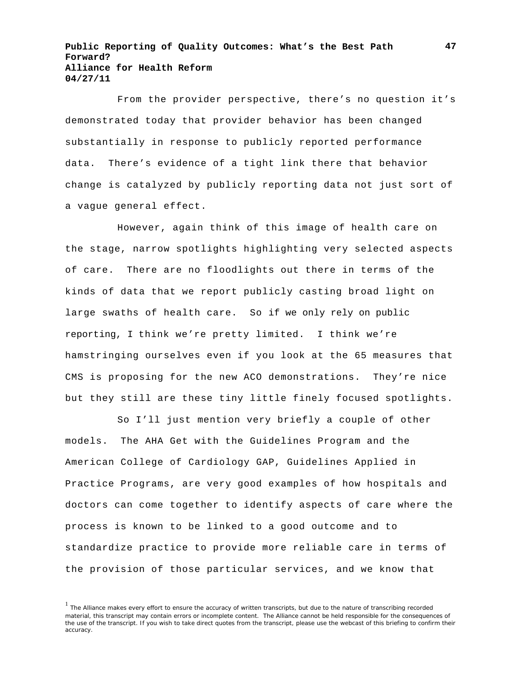From the provider perspective, there's no question it's demonstrated today that provider behavior has been changed substantially in response to publicly reported performance data. There's evidence of a tight link there that behavior change is catalyzed by publicly reporting data not just sort of a vague general effect.

However, again think of this image of health care on the stage, narrow spotlights highlighting very selected aspects of care. There are no floodlights out there in terms of the kinds of data that we report publicly casting broad light on large swaths of health care. So if we only rely on public reporting, I think we're pretty limited. I think we're hamstringing ourselves even if you look at the 65 measures that CMS is proposing for the new ACO demonstrations. They're nice but they still are these tiny little finely focused spotlights.

So I'll just mention very briefly a couple of other models. The AHA Get with the Guidelines Program and the American College of Cardiology GAP, Guidelines Applied in Practice Programs, are very good examples of how hospitals and doctors can come together to identify aspects of care where the process is known to be linked to a good outcome and to standardize practice to provide more reliable care in terms of the provision of those particular services, and we know that

<sup>&</sup>lt;sup>1</sup> The Alliance makes every effort to ensure the accuracy of written transcripts, but due to the nature of transcribing recorded material, this transcript may contain errors or incomplete content. The Alliance cannot be held responsible for the consequences of the use of the transcript. If you wish to take direct quotes from the transcript, please use the webcast of this briefing to confirm their accuracy.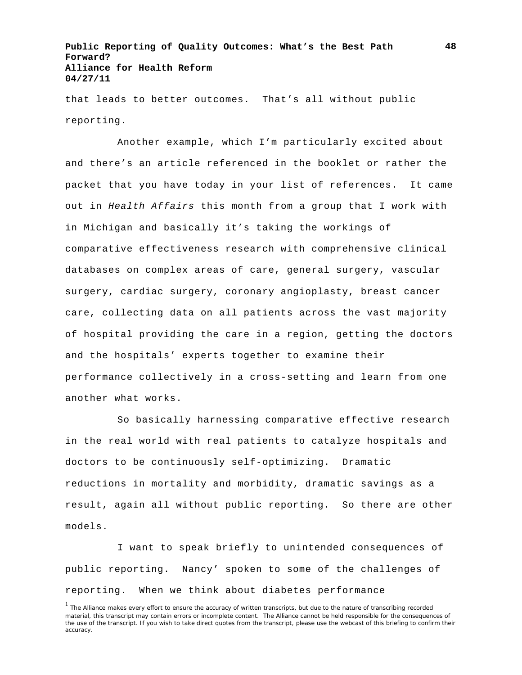that leads to better outcomes. That's all without public reporting.

Another example, which I'm particularly excited about and there's an article referenced in the booklet or rather the packet that you have today in your list of references. It came out in *Health Affairs* this month from a group that I work with in Michigan and basically it's taking the workings of comparative effectiveness research with comprehensive clinical databases on complex areas of care, general surgery, vascular surgery, cardiac surgery, coronary angioplasty, breast cancer care, collecting data on all patients across the vast majority of hospital providing the care in a region, getting the doctors and the hospitals' experts together to examine their performance collectively in a cross-setting and learn from one another what works.

So basically harnessing comparative effective research in the real world with real patients to catalyze hospitals and doctors to be continuously self-optimizing. Dramatic reductions in mortality and morbidity, dramatic savings as a result, again all without public reporting. So there are other models.

I want to speak briefly to unintended consequences of public reporting. Nancy' spoken to some of the challenges of reporting. When we think about diabetes performance

<sup>&</sup>lt;sup>1</sup> The Alliance makes every effort to ensure the accuracy of written transcripts, but due to the nature of transcribing recorded material, this transcript may contain errors or incomplete content. The Alliance cannot be held responsible for the consequences of the use of the transcript. If you wish to take direct quotes from the transcript, please use the webcast of this briefing to confirm their accuracy.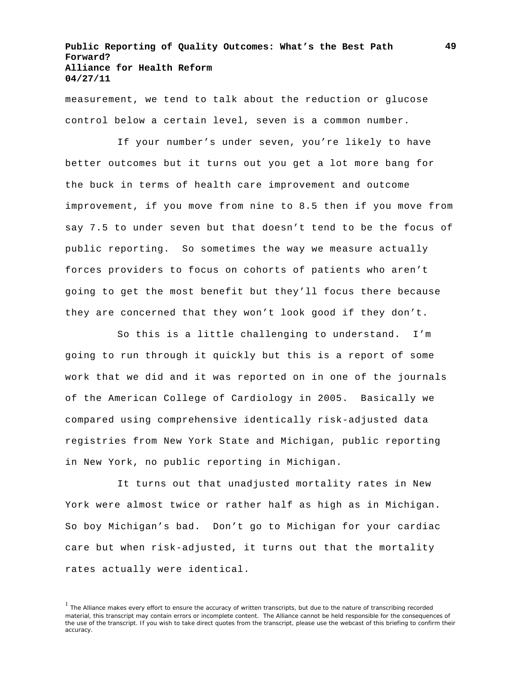measurement, we tend to talk about the reduction or glucose control below a certain level, seven is a common number.

If your number's under seven, you're likely to have better outcomes but it turns out you get a lot more bang for the buck in terms of health care improvement and outcome improvement, if you move from nine to 8.5 then if you move from say 7.5 to under seven but that doesn't tend to be the focus of public reporting. So sometimes the way we measure actually forces providers to focus on cohorts of patients who aren't going to get the most benefit but they'll focus there because they are concerned that they won't look good if they don't.

So this is a little challenging to understand. I'm going to run through it quickly but this is a report of some work that we did and it was reported on in one of the journals of the American College of Cardiology in 2005. Basically we compared using comprehensive identically risk-adjusted data registries from New York State and Michigan, public reporting in New York, no public reporting in Michigan.

It turns out that unadjusted mortality rates in New York were almost twice or rather half as high as in Michigan. So boy Michigan's bad. Don't go to Michigan for your cardiac care but when risk-adjusted, it turns out that the mortality rates actually were identical.

<sup>&</sup>lt;sup>1</sup> The Alliance makes every effort to ensure the accuracy of written transcripts, but due to the nature of transcribing recorded material, this transcript may contain errors or incomplete content. The Alliance cannot be held responsible for the consequences of the use of the transcript. If you wish to take direct quotes from the transcript, please use the webcast of this briefing to confirm their accuracy.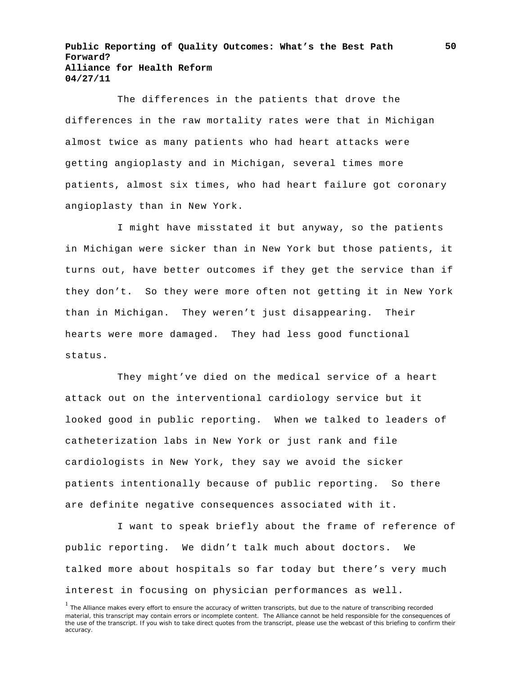The differences in the patients that drove the differences in the raw mortality rates were that in Michigan almost twice as many patients who had heart attacks were getting angioplasty and in Michigan, several times more patients, almost six times, who had heart failure got coronary angioplasty than in New York.

I might have misstated it but anyway, so the patients in Michigan were sicker than in New York but those patients, it turns out, have better outcomes if they get the service than if they don't. So they were more often not getting it in New York than in Michigan. They weren't just disappearing. Their hearts were more damaged. They had less good functional status.

They might've died on the medical service of a heart attack out on the interventional cardiology service but it looked good in public reporting. When we talked to leaders of catheterization labs in New York or just rank and file cardiologists in New York, they say we avoid the sicker patients intentionally because of public reporting. So there are definite negative consequences associated with it.

I want to speak briefly about the frame of reference of public reporting. We didn't talk much about doctors. We talked more about hospitals so far today but there's very much interest in focusing on physician performances as well.

<sup>&</sup>lt;sup>1</sup> The Alliance makes every effort to ensure the accuracy of written transcripts, but due to the nature of transcribing recorded material, this transcript may contain errors or incomplete content. The Alliance cannot be held responsible for the consequences of the use of the transcript. If you wish to take direct quotes from the transcript, please use the webcast of this briefing to confirm their accuracy.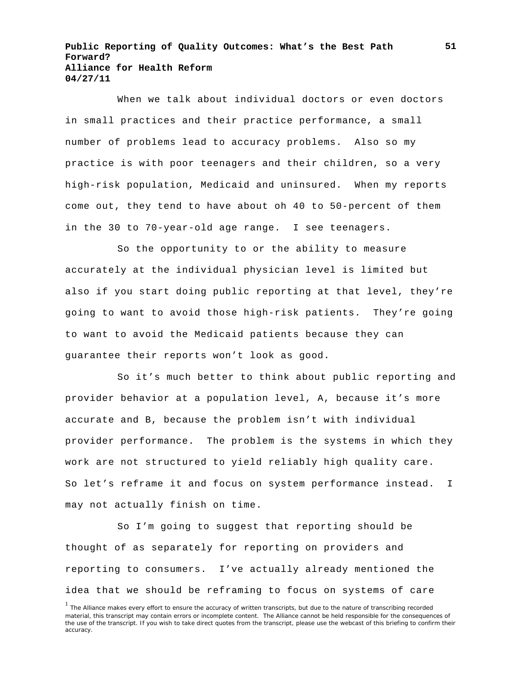When we talk about individual doctors or even doctors in small practices and their practice performance, a small number of problems lead to accuracy problems. Also so my practice is with poor teenagers and their children, so a very high-risk population, Medicaid and uninsured. When my reports come out, they tend to have about oh 40 to 50-percent of them in the 30 to 70-year-old age range. I see teenagers.

So the opportunity to or the ability to measure accurately at the individual physician level is limited but also if you start doing public reporting at that level, they're going to want to avoid those high-risk patients. They're going to want to avoid the Medicaid patients because they can guarantee their reports won't look as good.

So it's much better to think about public reporting and provider behavior at a population level, A, because it's more accurate and B, because the problem isn't with individual provider performance. The problem is the systems in which they work are not structured to yield reliably high quality care. So let's reframe it and focus on system performance instead. I may not actually finish on time.

So I'm going to suggest that reporting should be thought of as separately for reporting on providers and reporting to consumers. I've actually already mentioned the idea that we should be reframing to focus on systems of care

<sup>&</sup>lt;sup>1</sup> The Alliance makes every effort to ensure the accuracy of written transcripts, but due to the nature of transcribing recorded material, this transcript may contain errors or incomplete content. The Alliance cannot be held responsible for the consequences of the use of the transcript. If you wish to take direct quotes from the transcript, please use the webcast of this briefing to confirm their accuracy.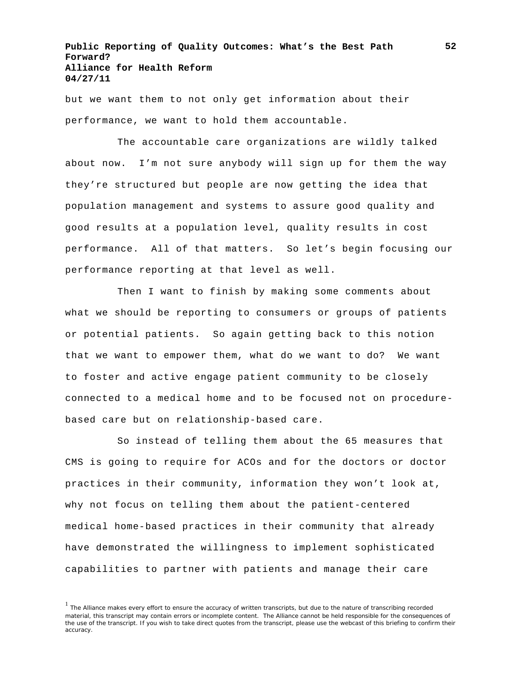but we want them to not only get information about their performance, we want to hold them accountable.

The accountable care organizations are wildly talked about now. I'm not sure anybody will sign up for them the way they're structured but people are now getting the idea that population management and systems to assure good quality and good results at a population level, quality results in cost performance. All of that matters. So let's begin focusing our performance reporting at that level as well.

Then I want to finish by making some comments about what we should be reporting to consumers or groups of patients or potential patients. So again getting back to this notion that we want to empower them, what do we want to do? We want to foster and active engage patient community to be closely connected to a medical home and to be focused not on procedurebased care but on relationship-based care.

So instead of telling them about the 65 measures that CMS is going to require for ACOs and for the doctors or doctor practices in their community, information they won't look at, why not focus on telling them about the patient-centered medical home-based practices in their community that already have demonstrated the willingness to implement sophisticated capabilities to partner with patients and manage their care

<sup>&</sup>lt;sup>1</sup> The Alliance makes every effort to ensure the accuracy of written transcripts, but due to the nature of transcribing recorded material, this transcript may contain errors or incomplete content. The Alliance cannot be held responsible for the consequences of the use of the transcript. If you wish to take direct quotes from the transcript, please use the webcast of this briefing to confirm their accuracy.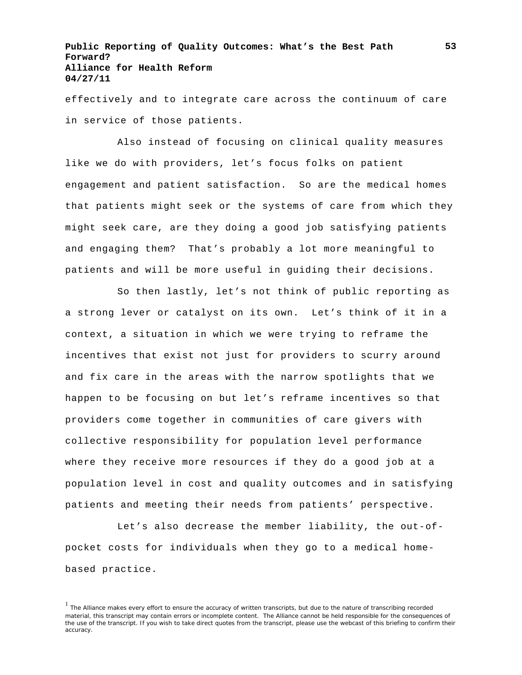effectively and to integrate care across the continuum of care in service of those patients.

Also instead of focusing on clinical quality measures like we do with providers, let's focus folks on patient engagement and patient satisfaction. So are the medical homes that patients might seek or the systems of care from which they might seek care, are they doing a good job satisfying patients and engaging them? That's probably a lot more meaningful to patients and will be more useful in guiding their decisions.

So then lastly, let's not think of public reporting as a strong lever or catalyst on its own. Let's think of it in a context, a situation in which we were trying to reframe the incentives that exist not just for providers to scurry around and fix care in the areas with the narrow spotlights that we happen to be focusing on but let's reframe incentives so that providers come together in communities of care givers with collective responsibility for population level performance where they receive more resources if they do a good job at a population level in cost and quality outcomes and in satisfying patients and meeting their needs from patients' perspective.

Let's also decrease the member liability, the out-ofpocket costs for individuals when they go to a medical homebased practice.

<sup>&</sup>lt;sup>1</sup> The Alliance makes every effort to ensure the accuracy of written transcripts, but due to the nature of transcribing recorded material, this transcript may contain errors or incomplete content. The Alliance cannot be held responsible for the consequences of the use of the transcript. If you wish to take direct quotes from the transcript, please use the webcast of this briefing to confirm their accuracy.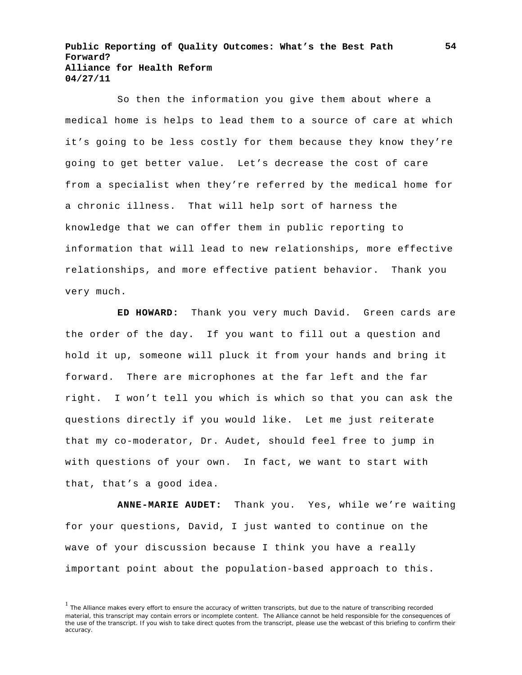So then the information you give them about where a medical home is helps to lead them to a source of care at which it's going to be less costly for them because they know they're going to get better value. Let's decrease the cost of care from a specialist when they're referred by the medical home for a chronic illness. That will help sort of harness the knowledge that we can offer them in public reporting to information that will lead to new relationships, more effective relationships, and more effective patient behavior. Thank you very much.

**ED HOWARD:** Thank you very much David. Green cards are the order of the day. If you want to fill out a question and hold it up, someone will pluck it from your hands and bring it forward. There are microphones at the far left and the far right. I won't tell you which is which so that you can ask the questions directly if you would like. Let me just reiterate that my co-moderator, Dr. Audet, should feel free to jump in with questions of your own. In fact, we want to start with that, that's a good idea.

**ANNE-MARIE AUDET:** Thank you. Yes, while we're waiting for your questions, David, I just wanted to continue on the wave of your discussion because I think you have a really important point about the population-based approach to this.

<sup>&</sup>lt;sup>1</sup> The Alliance makes every effort to ensure the accuracy of written transcripts, but due to the nature of transcribing recorded material, this transcript may contain errors or incomplete content. The Alliance cannot be held responsible for the consequences of the use of the transcript. If you wish to take direct quotes from the transcript, please use the webcast of this briefing to confirm their accuracy.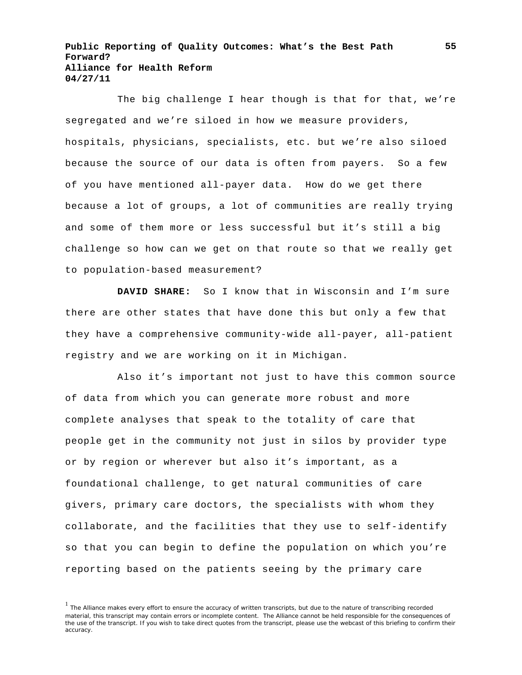The big challenge I hear though is that for that, we're segregated and we're siloed in how we measure providers, hospitals, physicians, specialists, etc. but we're also siloed because the source of our data is often from payers. So a few of you have mentioned all-payer data. How do we get there because a lot of groups, a lot of communities are really trying and some of them more or less successful but it's still a big challenge so how can we get on that route so that we really get to population-based measurement?

**DAVID SHARE:** So I know that in Wisconsin and I'm sure there are other states that have done this but only a few that they have a comprehensive community-wide all-payer, all-patient registry and we are working on it in Michigan.

Also it's important not just to have this common source of data from which you can generate more robust and more complete analyses that speak to the totality of care that people get in the community not just in silos by provider type or by region or wherever but also it's important, as a foundational challenge, to get natural communities of care givers, primary care doctors, the specialists with whom they collaborate, and the facilities that they use to self-identify so that you can begin to define the population on which you're reporting based on the patients seeing by the primary care

<sup>1</sup> The Alliance makes every effort to ensure the accuracy of written transcripts, but due to the nature of transcribing recorded material, this transcript may contain errors or incomplete content. The Alliance cannot be held responsible for the consequences of the use of the transcript. If you wish to take direct quotes from the transcript, please use the webcast of this briefing to confirm their accuracy.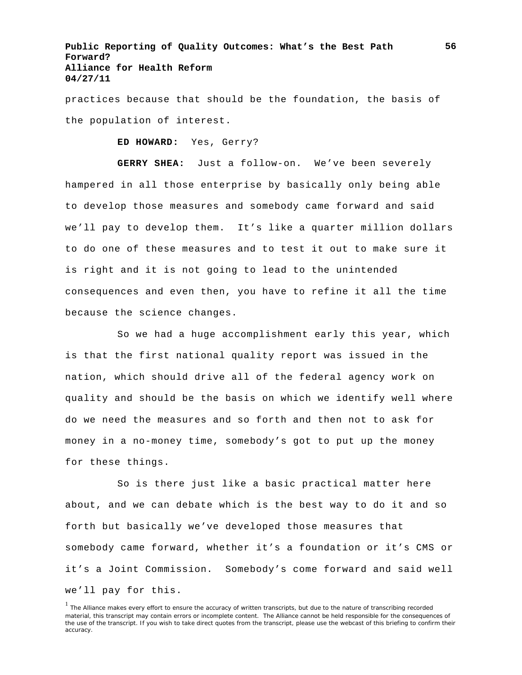practices because that should be the foundation, the basis of the population of interest.

**ED HOWARD:** Yes, Gerry?

**GERRY SHEA:** Just a follow-on. We've been severely hampered in all those enterprise by basically only being able to develop those measures and somebody came forward and said we'll pay to develop them. It's like a quarter million dollars to do one of these measures and to test it out to make sure it is right and it is not going to lead to the unintended consequences and even then, you have to refine it all the time because the science changes.

So we had a huge accomplishment early this year, which is that the first national quality report was issued in the nation, which should drive all of the federal agency work on quality and should be the basis on which we identify well where do we need the measures and so forth and then not to ask for money in a no-money time, somebody's got to put up the money for these things.

So is there just like a basic practical matter here about, and we can debate which is the best way to do it and so forth but basically we've developed those measures that somebody came forward, whether it's a foundation or it's CMS or it's a Joint Commission. Somebody's come forward and said well we'll pay for this.

<sup>&</sup>lt;sup>1</sup> The Alliance makes every effort to ensure the accuracy of written transcripts, but due to the nature of transcribing recorded material, this transcript may contain errors or incomplete content. The Alliance cannot be held responsible for the consequences of the use of the transcript. If you wish to take direct quotes from the transcript, please use the webcast of this briefing to confirm their accuracy.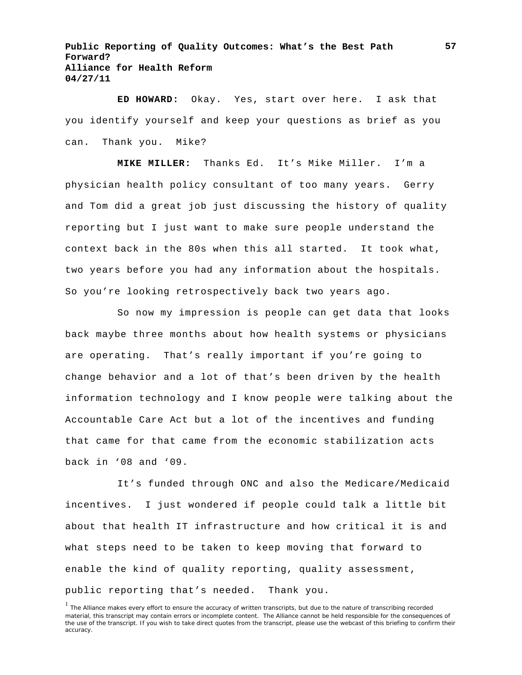**ED HOWARD:** Okay. Yes, start over here. I ask that you identify yourself and keep your questions as brief as you can. Thank you. Mike?

**MIKE MILLER:** Thanks Ed. It's Mike Miller. I'm a physician health policy consultant of too many years. Gerry and Tom did a great job just discussing the history of quality reporting but I just want to make sure people understand the context back in the 80s when this all started. It took what, two years before you had any information about the hospitals. So you're looking retrospectively back two years ago.

So now my impression is people can get data that looks back maybe three months about how health systems or physicians are operating. That's really important if you're going to change behavior and a lot of that's been driven by the health information technology and I know people were talking about the Accountable Care Act but a lot of the incentives and funding that came for that came from the economic stabilization acts back in '08 and '09.

It's funded through ONC and also the Medicare/Medicaid incentives. I just wondered if people could talk a little bit about that health IT infrastructure and how critical it is and what steps need to be taken to keep moving that forward to enable the kind of quality reporting, quality assessment, public reporting that's needed. Thank you.

<sup>&</sup>lt;sup>1</sup> The Alliance makes every effort to ensure the accuracy of written transcripts, but due to the nature of transcribing recorded material, this transcript may contain errors or incomplete content. The Alliance cannot be held responsible for the consequences of the use of the transcript. If you wish to take direct quotes from the transcript, please use the webcast of this briefing to confirm their accuracy.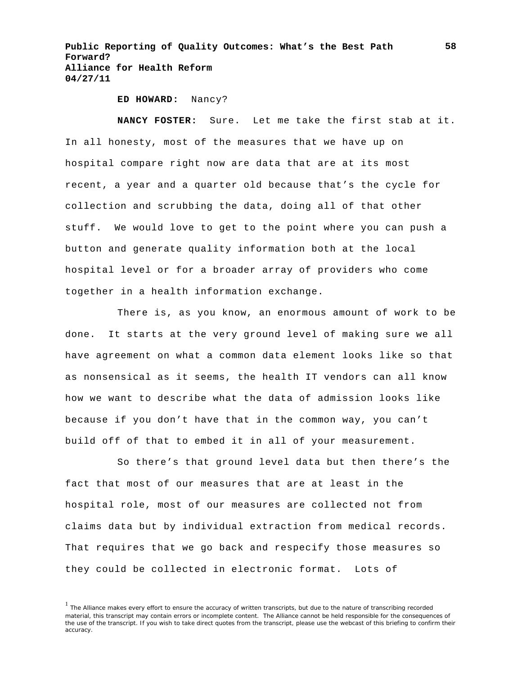**ED HOWARD:** Nancy?

**NANCY FOSTER:** Sure. Let me take the first stab at it. In all honesty, most of the measures that we have up on hospital compare right now are data that are at its most recent, a year and a quarter old because that's the cycle for collection and scrubbing the data, doing all of that other stuff. We would love to get to the point where you can push a button and generate quality information both at the local hospital level or for a broader array of providers who come together in a health information exchange.

There is, as you know, an enormous amount of work to be done. It starts at the very ground level of making sure we all have agreement on what a common data element looks like so that as nonsensical as it seems, the health IT vendors can all know how we want to describe what the data of admission looks like because if you don't have that in the common way, you can't build off of that to embed it in all of your measurement.

So there's that ground level data but then there's the fact that most of our measures that are at least in the hospital role, most of our measures are collected not from claims data but by individual extraction from medical records. That requires that we go back and respecify those measures so they could be collected in electronic format. Lots of

<sup>&</sup>lt;sup>1</sup> The Alliance makes every effort to ensure the accuracy of written transcripts, but due to the nature of transcribing recorded material, this transcript may contain errors or incomplete content. The Alliance cannot be held responsible for the consequences of the use of the transcript. If you wish to take direct quotes from the transcript, please use the webcast of this briefing to confirm their accuracy.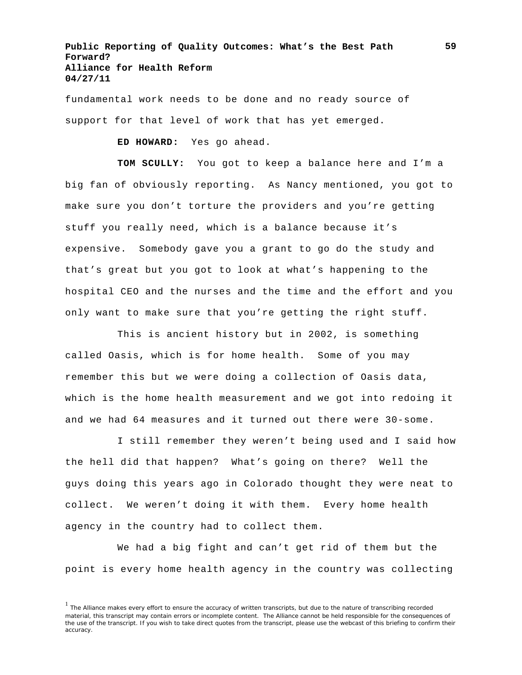fundamental work needs to be done and no ready source of support for that level of work that has yet emerged.

**ED HOWARD:** Yes go ahead.

**TOM SCULLY:** You got to keep a balance here and I'm a big fan of obviously reporting. As Nancy mentioned, you got to make sure you don't torture the providers and you're getting stuff you really need, which is a balance because it's expensive. Somebody gave you a grant to go do the study and that's great but you got to look at what's happening to the hospital CEO and the nurses and the time and the effort and you only want to make sure that you're getting the right stuff.

This is ancient history but in 2002, is something called Oasis, which is for home health. Some of you may remember this but we were doing a collection of Oasis data, which is the home health measurement and we got into redoing it and we had 64 measures and it turned out there were 30-some.

I still remember they weren't being used and I said how the hell did that happen? What's going on there? Well the guys doing this years ago in Colorado thought they were neat to collect. We weren't doing it with them. Every home health agency in the country had to collect them.

We had a big fight and can't get rid of them but the point is every home health agency in the country was collecting

<sup>&</sup>lt;sup>1</sup> The Alliance makes every effort to ensure the accuracy of written transcripts, but due to the nature of transcribing recorded material, this transcript may contain errors or incomplete content. The Alliance cannot be held responsible for the consequences of the use of the transcript. If you wish to take direct quotes from the transcript, please use the webcast of this briefing to confirm their accuracy.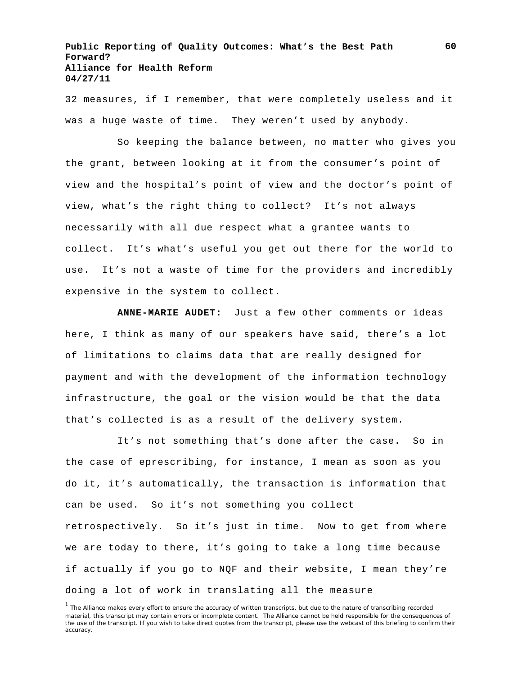32 measures, if I remember, that were completely useless and it was a huge waste of time. They weren't used by anybody.

So keeping the balance between, no matter who gives you the grant, between looking at it from the consumer's point of view and the hospital's point of view and the doctor's point of view, what's the right thing to collect? It's not always necessarily with all due respect what a grantee wants to collect. It's what's useful you get out there for the world to use. It's not a waste of time for the providers and incredibly expensive in the system to collect.

**ANNE-MARIE AUDET:** Just a few other comments or ideas here, I think as many of our speakers have said, there's a lot of limitations to claims data that are really designed for payment and with the development of the information technology infrastructure, the goal or the vision would be that the data that's collected is as a result of the delivery system.

It's not something that's done after the case. So in the case of eprescribing, for instance, I mean as soon as you do it, it's automatically, the transaction is information that can be used. So it's not something you collect retrospectively. So it's just in time. Now to get from where we are today to there, it's going to take a long time because if actually if you go to NQF and their website, I mean they're doing a lot of work in translating all the measure

<sup>&</sup>lt;sup>1</sup> The Alliance makes every effort to ensure the accuracy of written transcripts, but due to the nature of transcribing recorded material, this transcript may contain errors or incomplete content. The Alliance cannot be held responsible for the consequences of the use of the transcript. If you wish to take direct quotes from the transcript, please use the webcast of this briefing to confirm their accuracy.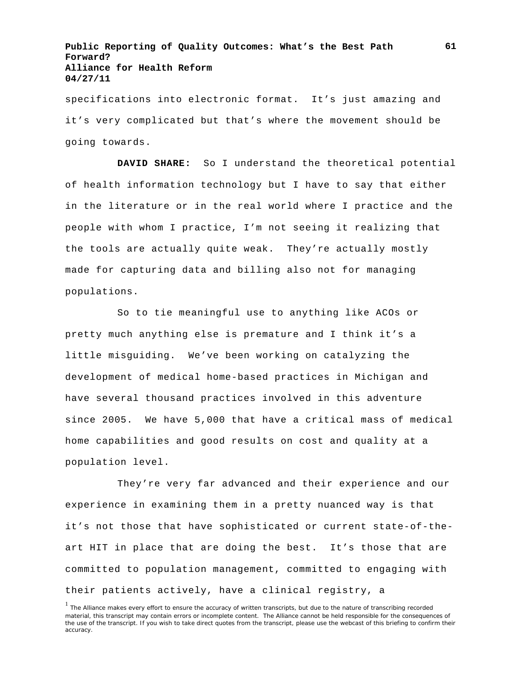specifications into electronic format. It's just amazing and it's very complicated but that's where the movement should be going towards.

**DAVID SHARE:** So I understand the theoretical potential of health information technology but I have to say that either in the literature or in the real world where I practice and the people with whom I practice, I'm not seeing it realizing that the tools are actually quite weak. They're actually mostly made for capturing data and billing also not for managing populations.

So to tie meaningful use to anything like ACOs or pretty much anything else is premature and I think it's a little misguiding. We've been working on catalyzing the development of medical home-based practices in Michigan and have several thousand practices involved in this adventure since 2005. We have 5,000 that have a critical mass of medical home capabilities and good results on cost and quality at a population level.

They're very far advanced and their experience and our experience in examining them in a pretty nuanced way is that it's not those that have sophisticated or current state-of-theart HIT in place that are doing the best. It's those that are committed to population management, committed to engaging with their patients actively, have a clinical registry, a

<sup>&</sup>lt;sup>1</sup> The Alliance makes every effort to ensure the accuracy of written transcripts, but due to the nature of transcribing recorded material, this transcript may contain errors or incomplete content. The Alliance cannot be held responsible for the consequences of the use of the transcript. If you wish to take direct quotes from the transcript, please use the webcast of this briefing to confirm their accuracy.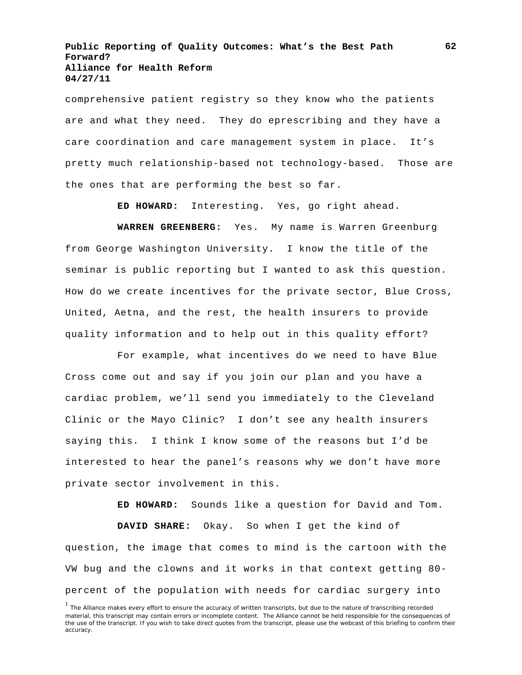comprehensive patient registry so they know who the patients are and what they need. They do eprescribing and they have a care coordination and care management system in place. It's pretty much relationship-based not technology-based. Those are the ones that are performing the best so far.

**ED HOWARD:** Interesting. Yes, go right ahead.

**WARREN GREENBERG:** Yes. My name is Warren Greenburg from George Washington University. I know the title of the seminar is public reporting but I wanted to ask this question. How do we create incentives for the private sector, Blue Cross, United, Aetna, and the rest, the health insurers to provide quality information and to help out in this quality effort?

For example, what incentives do we need to have Blue Cross come out and say if you join our plan and you have a cardiac problem, we'll send you immediately to the Cleveland Clinic or the Mayo Clinic? I don't see any health insurers saying this. I think I know some of the reasons but I'd be interested to hear the panel's reasons why we don't have more private sector involvement in this.

**ED HOWARD:** Sounds like a question for David and Tom.

**DAVID SHARE:** Okay. So when I get the kind of question, the image that comes to mind is the cartoon with the VW bug and the clowns and it works in that context getting 80 percent of the population with needs for cardiac surgery into

<sup>&</sup>lt;sup>1</sup> The Alliance makes every effort to ensure the accuracy of written transcripts, but due to the nature of transcribing recorded material, this transcript may contain errors or incomplete content. The Alliance cannot be held responsible for the consequences of the use of the transcript. If you wish to take direct quotes from the transcript, please use the webcast of this briefing to confirm their accuracy.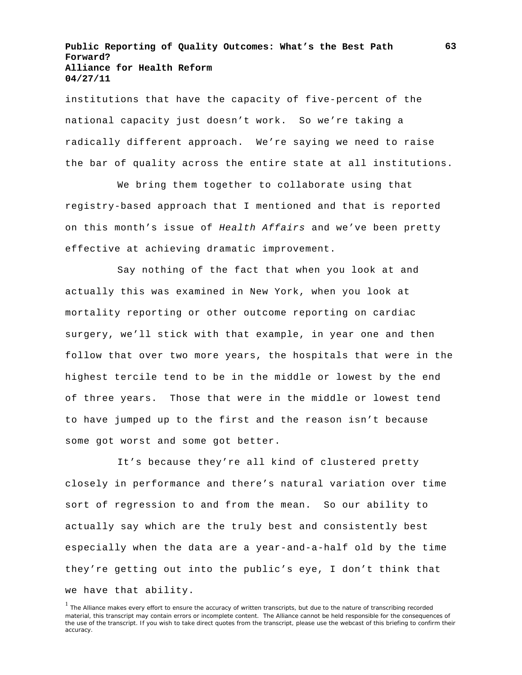institutions that have the capacity of five-percent of the national capacity just doesn't work. So we're taking a radically different approach. We're saying we need to raise the bar of quality across the entire state at all institutions.

We bring them together to collaborate using that registry-based approach that I mentioned and that is reported on this month's issue of *Health Affairs* and we've been pretty effective at achieving dramatic improvement.

Say nothing of the fact that when you look at and actually this was examined in New York, when you look at mortality reporting or other outcome reporting on cardiac surgery, we'll stick with that example, in year one and then follow that over two more years, the hospitals that were in the highest tercile tend to be in the middle or lowest by the end of three years. Those that were in the middle or lowest tend to have jumped up to the first and the reason isn't because some got worst and some got better.

It's because they're all kind of clustered pretty closely in performance and there's natural variation over time sort of regression to and from the mean. So our ability to actually say which are the truly best and consistently best especially when the data are a year-and-a-half old by the time they're getting out into the public's eye, I don't think that we have that ability.

<sup>&</sup>lt;sup>1</sup> The Alliance makes every effort to ensure the accuracy of written transcripts, but due to the nature of transcribing recorded material, this transcript may contain errors or incomplete content. The Alliance cannot be held responsible for the consequences of the use of the transcript. If you wish to take direct quotes from the transcript, please use the webcast of this briefing to confirm their accuracy.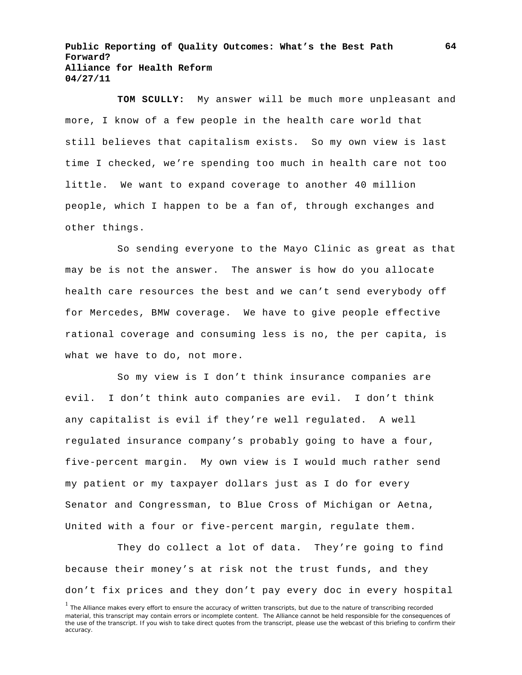**TOM SCULLY:** My answer will be much more unpleasant and more, I know of a few people in the health care world that still believes that capitalism exists. So my own view is last time I checked, we're spending too much in health care not too little. We want to expand coverage to another 40 million people, which I happen to be a fan of, through exchanges and other things.

So sending everyone to the Mayo Clinic as great as that may be is not the answer. The answer is how do you allocate health care resources the best and we can't send everybody off for Mercedes, BMW coverage. We have to give people effective rational coverage and consuming less is no, the per capita, is what we have to do, not more.

So my view is I don't think insurance companies are evil. I don't think auto companies are evil. I don't think any capitalist is evil if they're well regulated. A well regulated insurance company's probably going to have a four, five-percent margin. My own view is I would much rather send my patient or my taxpayer dollars just as I do for every Senator and Congressman, to Blue Cross of Michigan or Aetna, United with a four or five-percent margin, regulate them.

They do collect a lot of data. They're going to find because their money's at risk not the trust funds, and they don't fix prices and they don't pay every doc in every hospital

<sup>&</sup>lt;sup>1</sup> The Alliance makes every effort to ensure the accuracy of written transcripts, but due to the nature of transcribing recorded material, this transcript may contain errors or incomplete content. The Alliance cannot be held responsible for the consequences of the use of the transcript. If you wish to take direct quotes from the transcript, please use the webcast of this briefing to confirm their accuracy.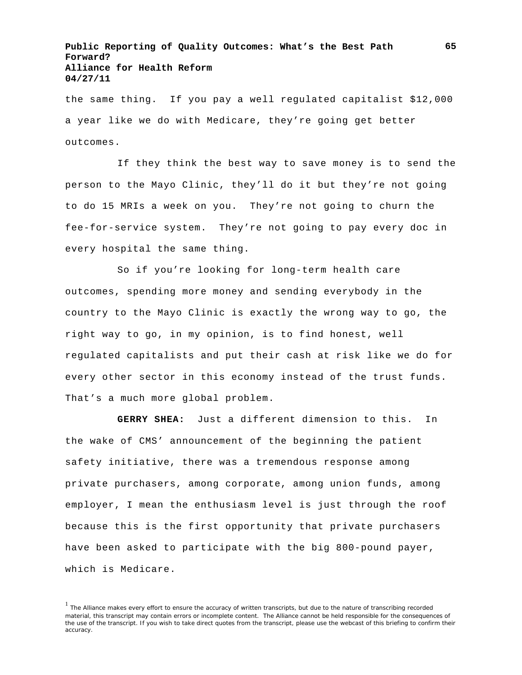the same thing. If you pay a well regulated capitalist \$12,000 a year like we do with Medicare, they're going get better outcomes.

If they think the best way to save money is to send the person to the Mayo Clinic, they'll do it but they're not going to do 15 MRIs a week on you. They're not going to churn the fee-for-service system. They're not going to pay every doc in every hospital the same thing.

So if you're looking for long-term health care outcomes, spending more money and sending everybody in the country to the Mayo Clinic is exactly the wrong way to go, the right way to go, in my opinion, is to find honest, well regulated capitalists and put their cash at risk like we do for every other sector in this economy instead of the trust funds. That's a much more global problem.

**GERRY SHEA:** Just a different dimension to this. In the wake of CMS' announcement of the beginning the patient safety initiative, there was a tremendous response among private purchasers, among corporate, among union funds, among employer, I mean the enthusiasm level is just through the roof because this is the first opportunity that private purchasers have been asked to participate with the big 800-pound payer, which is Medicare.

<sup>&</sup>lt;sup>1</sup> The Alliance makes every effort to ensure the accuracy of written transcripts, but due to the nature of transcribing recorded material, this transcript may contain errors or incomplete content. The Alliance cannot be held responsible for the consequences of the use of the transcript. If you wish to take direct quotes from the transcript, please use the webcast of this briefing to confirm their accuracy.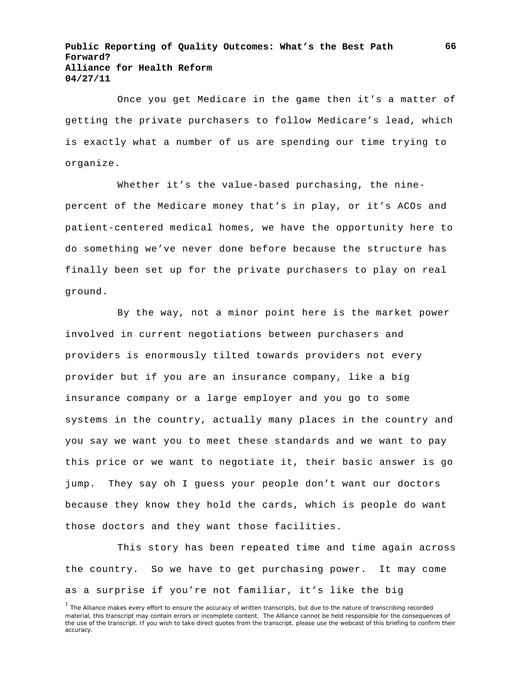Once you get Medicare in the game then it's a matter of getting the private purchasers to follow Medicare's lead, which is exactly what a number of us are spending our time trying to organize.

Whether it's the value-based purchasing, the ninepercent of the Medicare money that's in play, or it's ACOs and patient-centered medical homes, we have the opportunity here to do something we've never done before because the structure has finally been set up for the private purchasers to play on real ground.

By the way, not a minor point here is the market power involved in current negotiations between purchasers and providers is enormously tilted towards providers not every provider but if you are an insurance company, like a big insurance company or a large employer and you go to some systems in the country, actually many places in the country and you say we want you to meet these standards and we want to pay this price or we want to negotiate it, their basic answer is go jump. They say oh I guess your people don't want our doctors because they know they hold the cards, which is people do want those doctors and they want those facilities.

This story has been repeated time and time again across the country. So we have to get purchasing power. It may come as a surprise if you're not familiar, it's like the big

<sup>&</sup>lt;sup>1</sup> The Alliance makes every effort to ensure the accuracy of written transcripts, but due to the nature of transcribing recorded material, this transcript may contain errors or incomplete content. The Alliance cannot be held responsible for the consequences of the use of the transcript. If you wish to take direct quotes from the transcript, please use the webcast of this briefing to confirm their accuracy.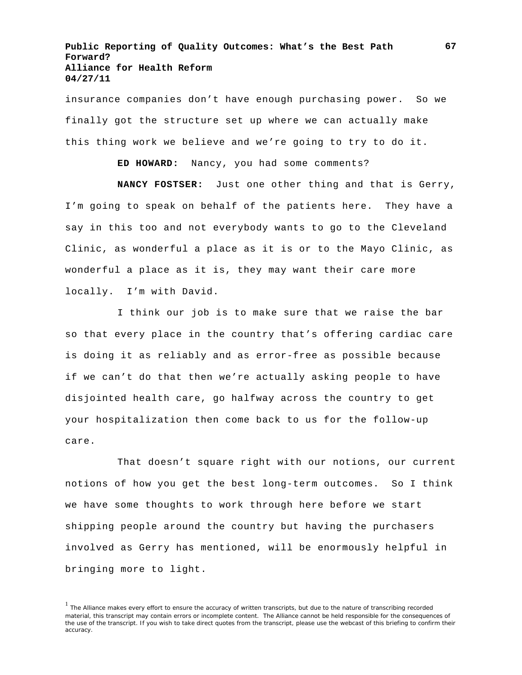insurance companies don't have enough purchasing power. So we finally got the structure set up where we can actually make this thing work we believe and we're going to try to do it.

**ED HOWARD:** Nancy, you had some comments?

**NANCY FOSTSER:** Just one other thing and that is Gerry, I'm going to speak on behalf of the patients here. They have a say in this too and not everybody wants to go to the Cleveland Clinic, as wonderful a place as it is or to the Mayo Clinic, as wonderful a place as it is, they may want their care more locally. I'm with David.

I think our job is to make sure that we raise the bar so that every place in the country that's offering cardiac care is doing it as reliably and as error-free as possible because if we can't do that then we're actually asking people to have disjointed health care, go halfway across the country to get your hospitalization then come back to us for the follow-up care.

That doesn't square right with our notions, our current notions of how you get the best long-term outcomes. So I think we have some thoughts to work through here before we start shipping people around the country but having the purchasers involved as Gerry has mentioned, will be enormously helpful in bringing more to light.

<sup>&</sup>lt;sup>1</sup> The Alliance makes every effort to ensure the accuracy of written transcripts, but due to the nature of transcribing recorded material, this transcript may contain errors or incomplete content. The Alliance cannot be held responsible for the consequences of the use of the transcript. If you wish to take direct quotes from the transcript, please use the webcast of this briefing to confirm their accuracy.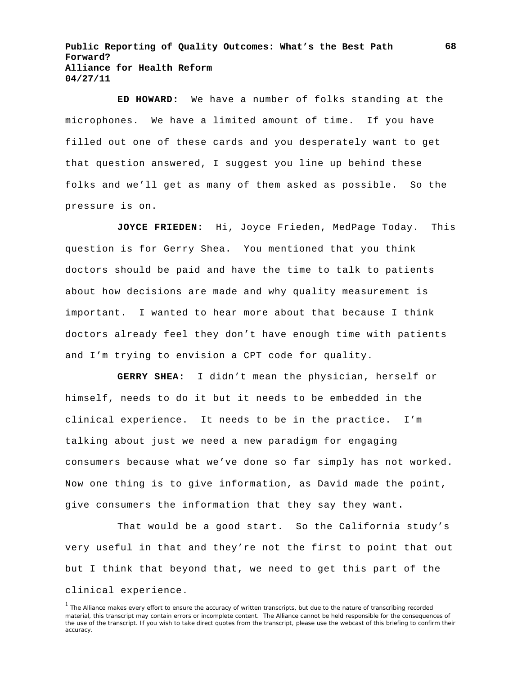**ED HOWARD:** We have a number of folks standing at the microphones. We have a limited amount of time. If you have filled out one of these cards and you desperately want to get that question answered, I suggest you line up behind these folks and we'll get as many of them asked as possible. So the pressure is on.

**JOYCE FRIEDEN:** Hi, Joyce Frieden, MedPage Today. This question is for Gerry Shea. You mentioned that you think doctors should be paid and have the time to talk to patients about how decisions are made and why quality measurement is important. I wanted to hear more about that because I think doctors already feel they don't have enough time with patients and I'm trying to envision a CPT code for quality.

**GERRY SHEA:** I didn't mean the physician, herself or himself, needs to do it but it needs to be embedded in the clinical experience. It needs to be in the practice. I'm talking about just we need a new paradigm for engaging consumers because what we've done so far simply has not worked. Now one thing is to give information, as David made the point, give consumers the information that they say they want.

That would be a good start. So the California study's very useful in that and they're not the first to point that out but I think that beyond that, we need to get this part of the clinical experience.

<sup>&</sup>lt;sup>1</sup> The Alliance makes every effort to ensure the accuracy of written transcripts, but due to the nature of transcribing recorded material, this transcript may contain errors or incomplete content. The Alliance cannot be held responsible for the consequences of the use of the transcript. If you wish to take direct quotes from the transcript, please use the webcast of this briefing to confirm their accuracy.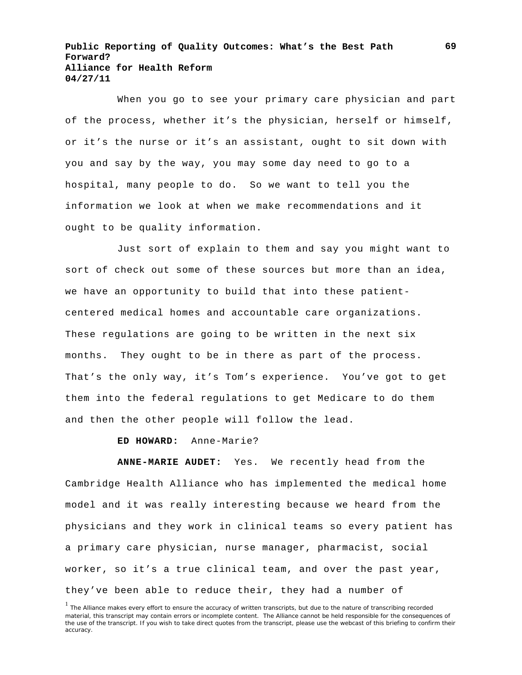When you go to see your primary care physician and part of the process, whether it's the physician, herself or himself, or it's the nurse or it's an assistant, ought to sit down with you and say by the way, you may some day need to go to a hospital, many people to do. So we want to tell you the information we look at when we make recommendations and it ought to be quality information.

Just sort of explain to them and say you might want to sort of check out some of these sources but more than an idea, we have an opportunity to build that into these patientcentered medical homes and accountable care organizations. These regulations are going to be written in the next six months. They ought to be in there as part of the process. That's the only way, it's Tom's experience. You've got to get them into the federal regulations to get Medicare to do them and then the other people will follow the lead.

**ED HOWARD:** Anne-Marie?

**ANNE-MARIE AUDET:** Yes. We recently head from the Cambridge Health Alliance who has implemented the medical home model and it was really interesting because we heard from the physicians and they work in clinical teams so every patient has a primary care physician, nurse manager, pharmacist, social worker, so it's a true clinical team, and over the past year, they've been able to reduce their, they had a number of

<sup>&</sup>lt;sup>1</sup> The Alliance makes every effort to ensure the accuracy of written transcripts, but due to the nature of transcribing recorded material, this transcript may contain errors or incomplete content. The Alliance cannot be held responsible for the consequences of the use of the transcript. If you wish to take direct quotes from the transcript, please use the webcast of this briefing to confirm their accuracy.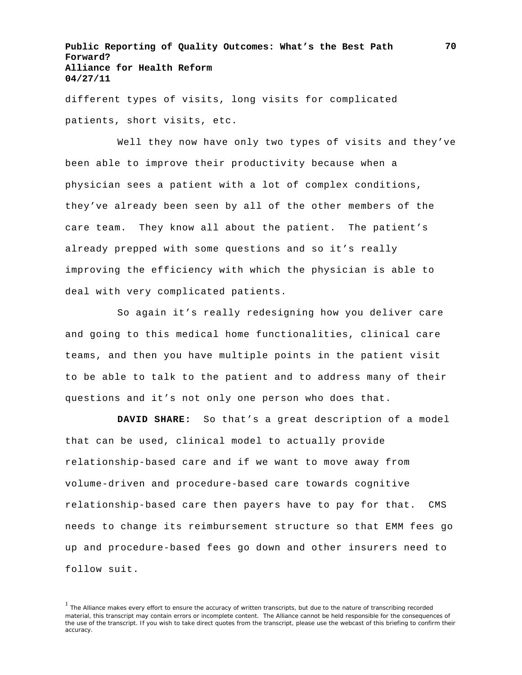different types of visits, long visits for complicated patients, short visits, etc.

Well they now have only two types of visits and they've been able to improve their productivity because when a physician sees a patient with a lot of complex conditions, they've already been seen by all of the other members of the care team. They know all about the patient. The patient's already prepped with some questions and so it's really improving the efficiency with which the physician is able to deal with very complicated patients.

So again it's really redesigning how you deliver care and going to this medical home functionalities, clinical care teams, and then you have multiple points in the patient visit to be able to talk to the patient and to address many of their questions and it's not only one person who does that.

**DAVID SHARE:** So that's a great description of a model that can be used, clinical model to actually provide relationship-based care and if we want to move away from volume-driven and procedure-based care towards cognitive relationship-based care then payers have to pay for that. CMS needs to change its reimbursement structure so that EMM fees go up and procedure-based fees go down and other insurers need to follow suit.

<sup>&</sup>lt;sup>1</sup> The Alliance makes every effort to ensure the accuracy of written transcripts, but due to the nature of transcribing recorded material, this transcript may contain errors or incomplete content. The Alliance cannot be held responsible for the consequences of the use of the transcript. If you wish to take direct quotes from the transcript, please use the webcast of this briefing to confirm their accuracy.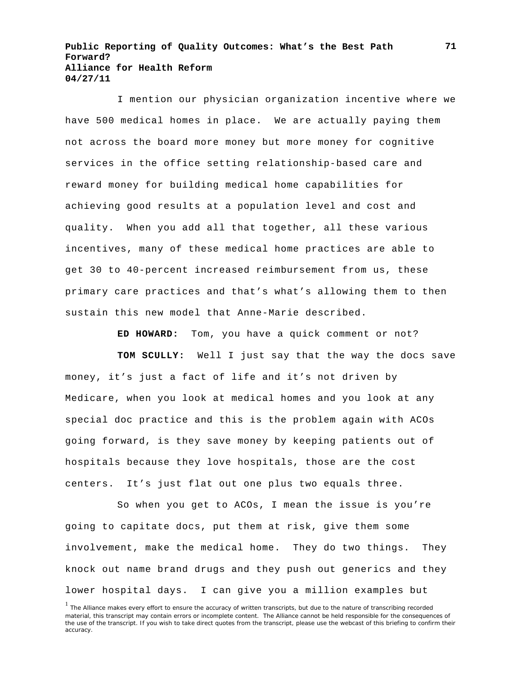I mention our physician organization incentive where we have 500 medical homes in place. We are actually paying them not across the board more money but more money for cognitive services in the office setting relationship-based care and reward money for building medical home capabilities for achieving good results at a population level and cost and quality. When you add all that together, all these various incentives, many of these medical home practices are able to get 30 to 40-percent increased reimbursement from us, these primary care practices and that's what's allowing them to then sustain this new model that Anne-Marie described.

**ED HOWARD:** Tom, you have a quick comment or not?

**TOM SCULLY:** Well I just say that the way the docs save money, it's just a fact of life and it's not driven by Medicare, when you look at medical homes and you look at any special doc practice and this is the problem again with ACOs going forward, is they save money by keeping patients out of hospitals because they love hospitals, those are the cost centers. It's just flat out one plus two equals three.

So when you get to ACOs, I mean the issue is you're going to capitate docs, put them at risk, give them some involvement, make the medical home. They do two things. They knock out name brand drugs and they push out generics and they lower hospital days. I can give you a million examples but

<sup>&</sup>lt;sup>1</sup> The Alliance makes every effort to ensure the accuracy of written transcripts, but due to the nature of transcribing recorded material, this transcript may contain errors or incomplete content. The Alliance cannot be held responsible for the consequences of the use of the transcript. If you wish to take direct quotes from the transcript, please use the webcast of this briefing to confirm their accuracy.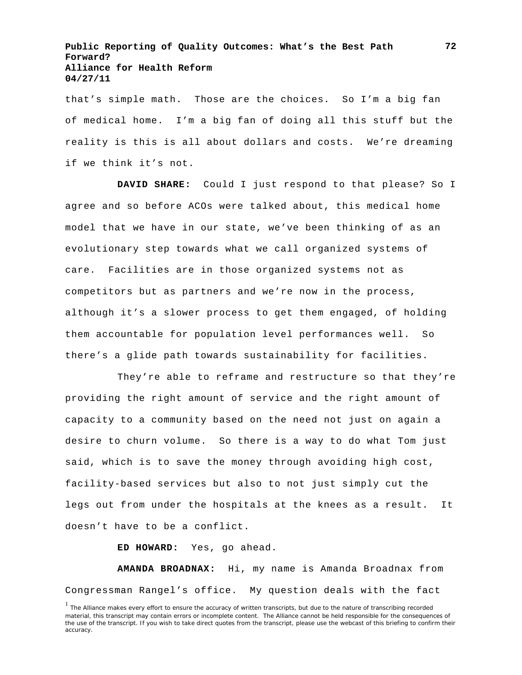that's simple math. Those are the choices. So I'm a big fan of medical home. I'm a big fan of doing all this stuff but the reality is this is all about dollars and costs. We're dreaming if we think it's not.

**DAVID SHARE:** Could I just respond to that please? So I agree and so before ACOs were talked about, this medical home model that we have in our state, we've been thinking of as an evolutionary step towards what we call organized systems of care. Facilities are in those organized systems not as competitors but as partners and we're now in the process, although it's a slower process to get them engaged, of holding them accountable for population level performances well. So there's a glide path towards sustainability for facilities.

They're able to reframe and restructure so that they're providing the right amount of service and the right amount of capacity to a community based on the need not just on again a desire to churn volume. So there is a way to do what Tom just said, which is to save the money through avoiding high cost, facility-based services but also to not just simply cut the legs out from under the hospitals at the knees as a result. It doesn't have to be a conflict.

**ED HOWARD:** Yes, go ahead.

**AMANDA BROADNAX:** Hi, my name is Amanda Broadnax from Congressman Rangel's office. My question deals with the fact

<sup>&</sup>lt;sup>1</sup> The Alliance makes every effort to ensure the accuracy of written transcripts, but due to the nature of transcribing recorded material, this transcript may contain errors or incomplete content. The Alliance cannot be held responsible for the consequences of the use of the transcript. If you wish to take direct quotes from the transcript, please use the webcast of this briefing to confirm their accuracy.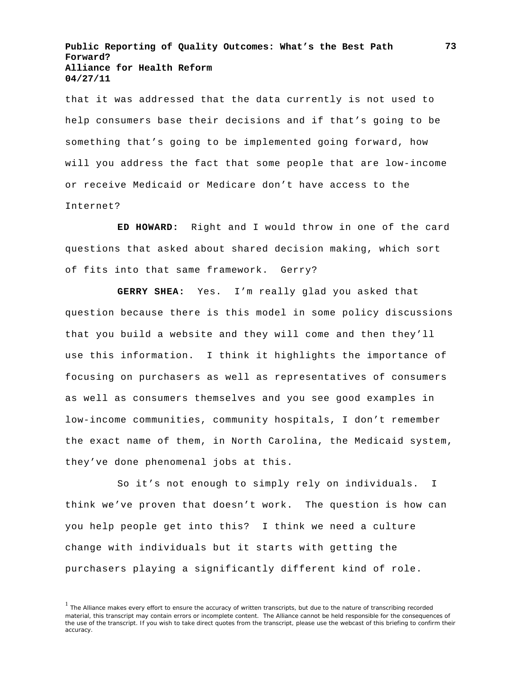that it was addressed that the data currently is not used to help consumers base their decisions and if that's going to be something that's going to be implemented going forward, how will you address the fact that some people that are low-income or receive Medicaid or Medicare don't have access to the Internet?

**ED HOWARD:** Right and I would throw in one of the card questions that asked about shared decision making, which sort of fits into that same framework. Gerry?

**GERRY SHEA:** Yes. I'm really glad you asked that question because there is this model in some policy discussions that you build a website and they will come and then they'll use this information. I think it highlights the importance of focusing on purchasers as well as representatives of consumers as well as consumers themselves and you see good examples in low-income communities, community hospitals, I don't remember the exact name of them, in North Carolina, the Medicaid system, they've done phenomenal jobs at this.

So it's not enough to simply rely on individuals. I think we've proven that doesn't work. The question is how can you help people get into this? I think we need a culture change with individuals but it starts with getting the purchasers playing a significantly different kind of role.

<sup>&</sup>lt;sup>1</sup> The Alliance makes every effort to ensure the accuracy of written transcripts, but due to the nature of transcribing recorded material, this transcript may contain errors or incomplete content. The Alliance cannot be held responsible for the consequences of the use of the transcript. If you wish to take direct quotes from the transcript, please use the webcast of this briefing to confirm their accuracy.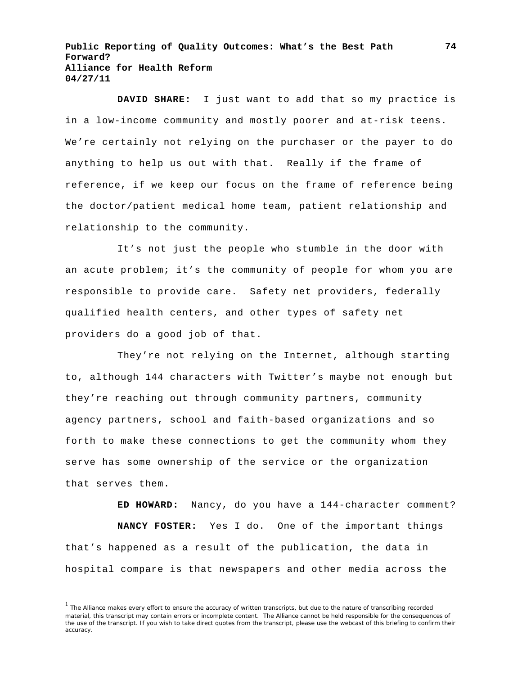**DAVID SHARE:** I just want to add that so my practice is in a low-income community and mostly poorer and at-risk teens. We're certainly not relying on the purchaser or the payer to do anything to help us out with that. Really if the frame of reference, if we keep our focus on the frame of reference being the doctor/patient medical home team, patient relationship and relationship to the community.

It's not just the people who stumble in the door with an acute problem; it's the community of people for whom you are responsible to provide care. Safety net providers, federally qualified health centers, and other types of safety net providers do a good job of that.

They're not relying on the Internet, although starting to, although 144 characters with Twitter's maybe not enough but they're reaching out through community partners, community agency partners, school and faith-based organizations and so forth to make these connections to get the community whom they serve has some ownership of the service or the organization that serves them.

**ED HOWARD:** Nancy, do you have a 144-character comment? **NANCY FOSTER:** Yes I do. One of the important things that's happened as a result of the publication, the data in hospital compare is that newspapers and other media across the

<sup>&</sup>lt;sup>1</sup> The Alliance makes every effort to ensure the accuracy of written transcripts, but due to the nature of transcribing recorded material, this transcript may contain errors or incomplete content. The Alliance cannot be held responsible for the consequences of the use of the transcript. If you wish to take direct quotes from the transcript, please use the webcast of this briefing to confirm their accuracy.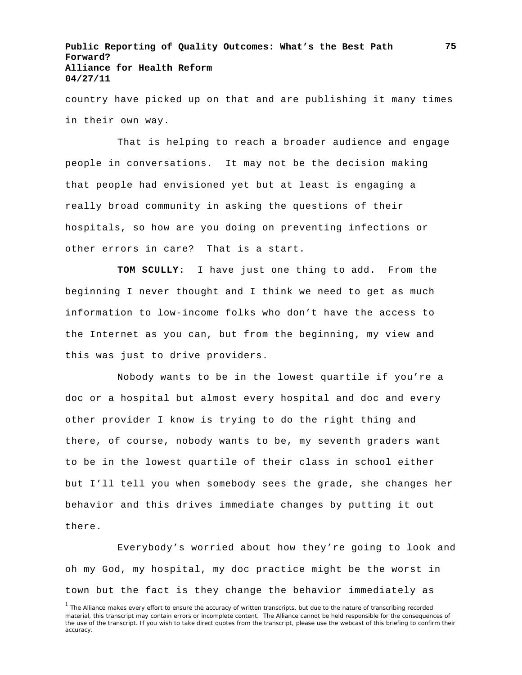country have picked up on that and are publishing it many times in their own way.

That is helping to reach a broader audience and engage people in conversations. It may not be the decision making that people had envisioned yet but at least is engaging a really broad community in asking the questions of their hospitals, so how are you doing on preventing infections or other errors in care? That is a start.

**TOM SCULLY:** I have just one thing to add. From the beginning I never thought and I think we need to get as much information to low-income folks who don't have the access to the Internet as you can, but from the beginning, my view and this was just to drive providers.

Nobody wants to be in the lowest quartile if you're a doc or a hospital but almost every hospital and doc and every other provider I know is trying to do the right thing and there, of course, nobody wants to be, my seventh graders want to be in the lowest quartile of their class in school either but I'll tell you when somebody sees the grade, she changes her behavior and this drives immediate changes by putting it out there.

Everybody's worried about how they're going to look and oh my God, my hospital, my doc practice might be the worst in town but the fact is they change the behavior immediately as

<sup>&</sup>lt;sup>1</sup> The Alliance makes every effort to ensure the accuracy of written transcripts, but due to the nature of transcribing recorded material, this transcript may contain errors or incomplete content. The Alliance cannot be held responsible for the consequences of the use of the transcript. If you wish to take direct quotes from the transcript, please use the webcast of this briefing to confirm their accuracy.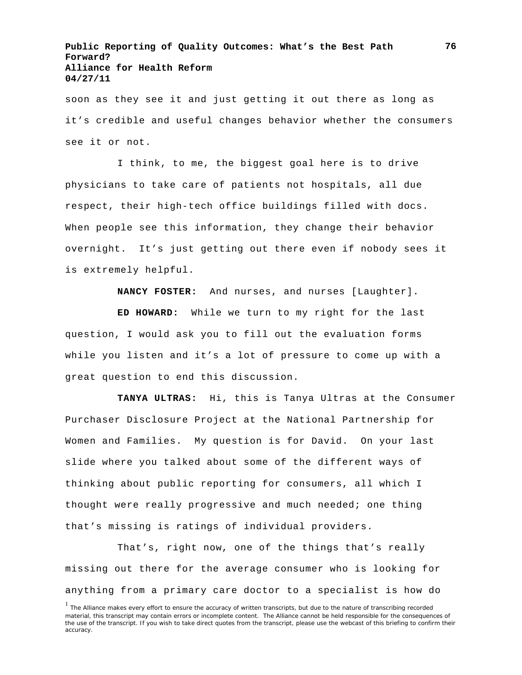soon as they see it and just getting it out there as long as it's credible and useful changes behavior whether the consumers see it or not.

I think, to me, the biggest goal here is to drive physicians to take care of patients not hospitals, all due respect, their high-tech office buildings filled with docs. When people see this information, they change their behavior overnight. It's just getting out there even if nobody sees it is extremely helpful.

**NANCY FOSTER:** And nurses, and nurses [Laughter].

**ED HOWARD:** While we turn to my right for the last question, I would ask you to fill out the evaluation forms while you listen and it's a lot of pressure to come up with a great question to end this discussion.

**TANYA ULTRAS:** Hi, this is Tanya Ultras at the Consumer Purchaser Disclosure Project at the National Partnership for Women and Families. My question is for David. On your last slide where you talked about some of the different ways of thinking about public reporting for consumers, all which I thought were really progressive and much needed; one thing that's missing is ratings of individual providers.

That's, right now, one of the things that's really missing out there for the average consumer who is looking for anything from a primary care doctor to a specialist is how do

<sup>&</sup>lt;sup>1</sup> The Alliance makes every effort to ensure the accuracy of written transcripts, but due to the nature of transcribing recorded material, this transcript may contain errors or incomplete content. The Alliance cannot be held responsible for the consequences of the use of the transcript. If you wish to take direct quotes from the transcript, please use the webcast of this briefing to confirm their accuracy.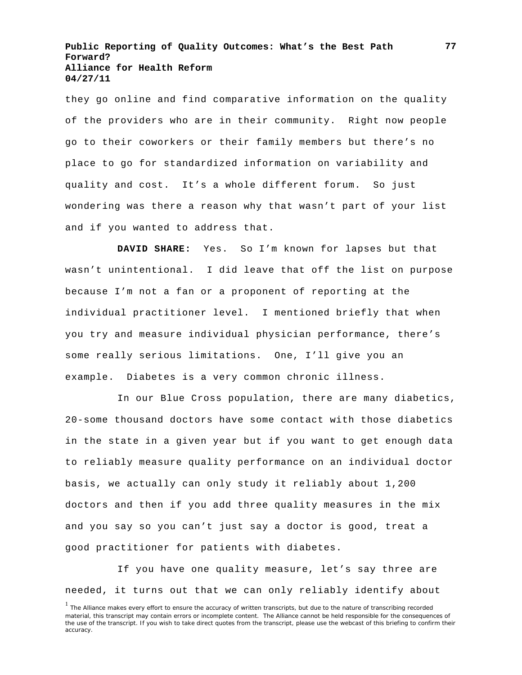they go online and find comparative information on the quality of the providers who are in their community. Right now people go to their coworkers or their family members but there's no place to go for standardized information on variability and quality and cost. It's a whole different forum. So just wondering was there a reason why that wasn't part of your list and if you wanted to address that.

**DAVID SHARE:** Yes. So I'm known for lapses but that wasn't unintentional. I did leave that off the list on purpose because I'm not a fan or a proponent of reporting at the individual practitioner level. I mentioned briefly that when you try and measure individual physician performance, there's some really serious limitations. One, I'll give you an example. Diabetes is a very common chronic illness.

In our Blue Cross population, there are many diabetics, 20-some thousand doctors have some contact with those diabetics in the state in a given year but if you want to get enough data to reliably measure quality performance on an individual doctor basis, we actually can only study it reliably about 1,200 doctors and then if you add three quality measures in the mix and you say so you can't just say a doctor is good, treat a good practitioner for patients with diabetes.

If you have one quality measure, let's say three are needed, it turns out that we can only reliably identify about

<sup>&</sup>lt;sup>1</sup> The Alliance makes every effort to ensure the accuracy of written transcripts, but due to the nature of transcribing recorded material, this transcript may contain errors or incomplete content. The Alliance cannot be held responsible for the consequences of the use of the transcript. If you wish to take direct quotes from the transcript, please use the webcast of this briefing to confirm their accuracy.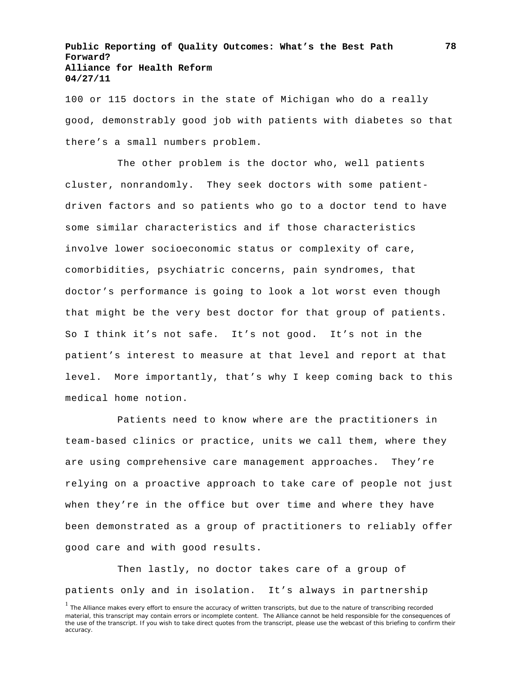100 or 115 doctors in the state of Michigan who do a really good, demonstrably good job with patients with diabetes so that there's a small numbers problem.

The other problem is the doctor who, well patients cluster, nonrandomly. They seek doctors with some patientdriven factors and so patients who go to a doctor tend to have some similar characteristics and if those characteristics involve lower socioeconomic status or complexity of care, comorbidities, psychiatric concerns, pain syndromes, that doctor's performance is going to look a lot worst even though that might be the very best doctor for that group of patients. So I think it's not safe. It's not good. It's not in the patient's interest to measure at that level and report at that level. More importantly, that's why I keep coming back to this medical home notion.

Patients need to know where are the practitioners in team-based clinics or practice, units we call them, where they are using comprehensive care management approaches. They're relying on a proactive approach to take care of people not just when they're in the office but over time and where they have been demonstrated as a group of practitioners to reliably offer good care and with good results.

Then lastly, no doctor takes care of a group of patients only and in isolation. It's always in partnership **78**

<sup>&</sup>lt;sup>1</sup> The Alliance makes every effort to ensure the accuracy of written transcripts, but due to the nature of transcribing recorded material, this transcript may contain errors or incomplete content. The Alliance cannot be held responsible for the consequences of the use of the transcript. If you wish to take direct quotes from the transcript, please use the webcast of this briefing to confirm their accuracy.